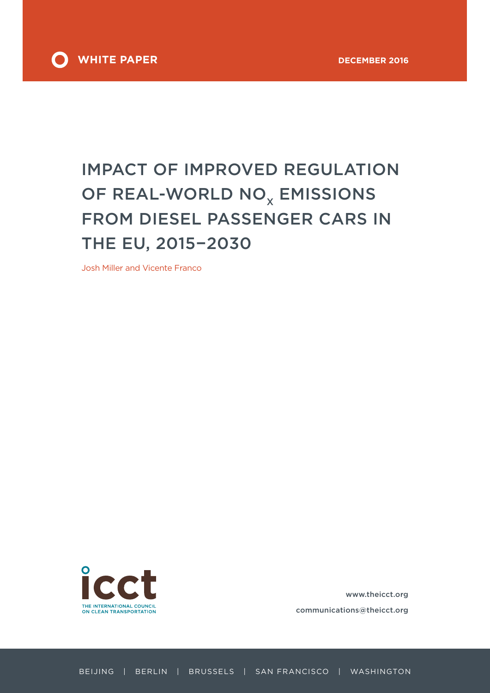

# IMPACT OF IMPROVED REGULATION OF REAL-WORLD NO<sub>x</sub> EMISSIONS FROM DIESEL PASSENGER CARS IN THE EU, 2015−2030

Josh Miller and Vicente Franco



www.theicct.org communications@theicct.org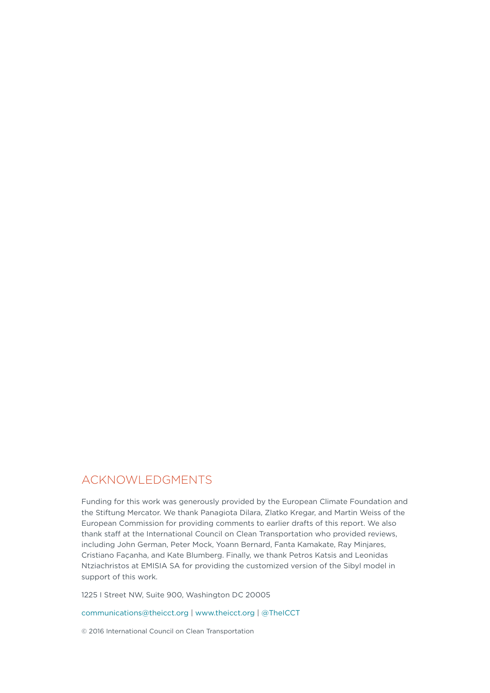## ACKNOWLEDGMENTS

Funding for this work was generously provided by the European Climate Foundation and the Stiftung Mercator. We thank Panagiota Dilara, Zlatko Kregar, and Martin Weiss of the European Commission for providing comments to earlier drafts of this report. We also thank staff at the International Council on Clean Transportation who provided reviews, including John German, Peter Mock, Yoann Bernard, Fanta Kamakate, Ray Minjares, Cristiano Façanha, and Kate Blumberg. Finally, we thank Petros Katsis and Leonidas Ntziachristos at EMISIA SA for providing the customized version of the Sibyl model in support of this work.

1225 I Street NW, Suite 900, Washington DC 20005

[communications@theicct.org](mailto:communications%40theicct.org?subject=) | [www.theicct.org](http://www.theicct.org) | [@TheICCT](https://twitter.com/TheICCT)

© 2016 International Council on Clean Transportation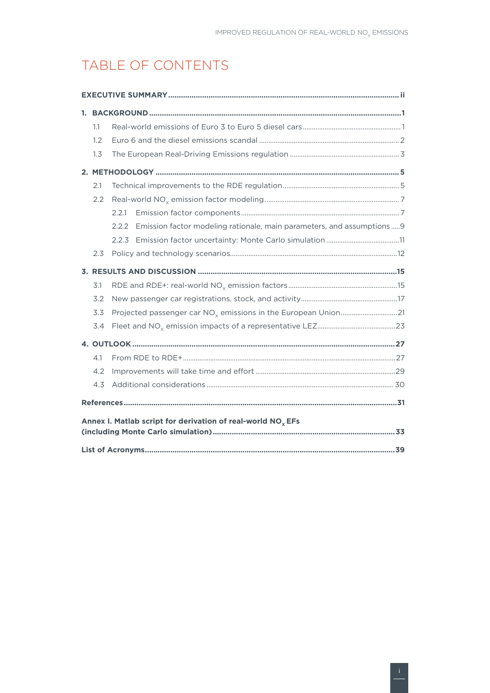# TABLE OF CONTENTS

| 1.1 |                                                                                  |
|-----|----------------------------------------------------------------------------------|
| 1.2 |                                                                                  |
| 1.3 |                                                                                  |
|     |                                                                                  |
| 2.1 |                                                                                  |
| 2.2 |                                                                                  |
|     | 2.2.1                                                                            |
|     | Emission factor modeling rationale, main parameters, and assumptions  9<br>2.2.2 |
|     | 2.2.3                                                                            |
| 2.3 |                                                                                  |
|     |                                                                                  |
| 3.1 |                                                                                  |
| 3.2 |                                                                                  |
| 3.3 |                                                                                  |
| 3.4 |                                                                                  |
|     |                                                                                  |
| 4.1 |                                                                                  |
| 4.2 |                                                                                  |
| 4.3 |                                                                                  |
|     |                                                                                  |
|     | Annex I. Matlab script for derivation of real-world $NOx EFs$                    |
|     |                                                                                  |
|     |                                                                                  |
|     |                                                                                  |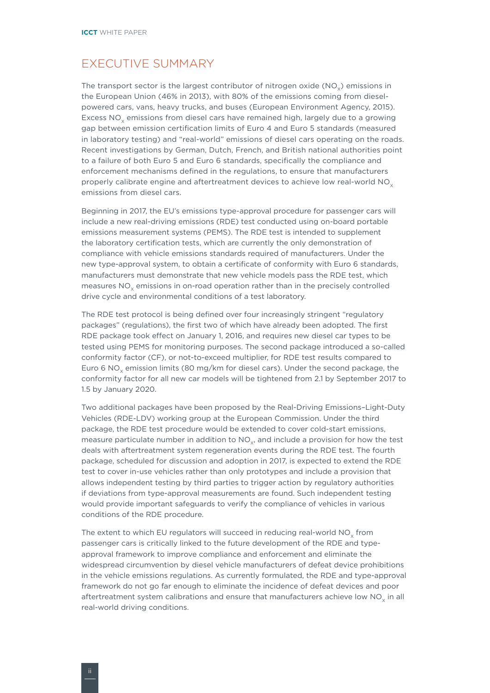# <span id="page-3-0"></span>EXECUTIVE SUMMARY

The transport sector is the largest contributor of nitrogen oxide ( $NO<sub>x</sub>$ ) emissions in the European Union (46% in 2013), with 80% of the emissions coming from dieselpowered cars, vans, heavy trucks, and buses (European Environment Agency, 2015). Excess NO<sub>y</sub> emissions from diesel cars have remained high, largely due to a growing gap between emission certification limits of Euro 4 and Euro 5 standards (measured in laboratory testing) and "real-world" emissions of diesel cars operating on the roads. Recent investigations by German, Dutch, French, and British national authorities point to a failure of both Euro 5 and Euro 6 standards, specifically the compliance and enforcement mechanisms defined in the regulations, to ensure that manufacturers properly calibrate engine and aftertreatment devices to achieve low real-world  $NO<sub>x</sub>$ emissions from diesel cars.

Beginning in 2017, the EU's emissions type-approval procedure for passenger cars will include a new real-driving emissions (RDE) test conducted using on-board portable emissions measurement systems (PEMS). The RDE test is intended to supplement the laboratory certification tests, which are currently the only demonstration of compliance with vehicle emissions standards required of manufacturers. Under the new type-approval system, to obtain a certificate of conformity with Euro 6 standards, manufacturers must demonstrate that new vehicle models pass the RDE test, which measures NO<sub>v</sub> emissions in on-road operation rather than in the precisely controlled drive cycle and environmental conditions of a test laboratory.

The RDE test protocol is being defined over four increasingly stringent "regulatory packages" (regulations), the first two of which have already been adopted. The first RDE package took effect on January 1, 2016, and requires new diesel car types to be tested using PEMS for monitoring purposes. The second package introduced a so-called conformity factor (CF), or not-to-exceed multiplier, for RDE test results compared to Euro 6 NO<sub>x</sub> emission limits (80 mg/km for diesel cars). Under the second package, the conformity factor for all new car models will be tightened from 2.1 by September 2017 to 1.5 by January 2020.

Two additional packages have been proposed by the Real-Driving Emissions–Light-Duty Vehicles (RDE-LDV) working group at the European Commission. Under the third package, the RDE test procedure would be extended to cover cold-start emissions, measure particulate number in addition to NO<sub>v</sub>, and include a provision for how the test deals with aftertreatment system regeneration events during the RDE test. The fourth package, scheduled for discussion and adoption in 2017, is expected to extend the RDE test to cover in-use vehicles rather than only prototypes and include a provision that allows independent testing by third parties to trigger action by regulatory authorities if deviations from type-approval measurements are found. Such independent testing would provide important safeguards to verify the compliance of vehicles in various conditions of the RDE procedure.

The extent to which EU regulators will succeed in reducing real-world NO<sub>v</sub> from passenger cars is critically linked to the future development of the RDE and typeapproval framework to improve compliance and enforcement and eliminate the widespread circumvention by diesel vehicle manufacturers of defeat device prohibitions in the vehicle emissions regulations. As currently formulated, the RDE and type-approval framework do not go far enough to eliminate the incidence of defeat devices and poor aftertreatment system calibrations and ensure that manufacturers achieve low  $NO<sub>x</sub>$  in all real-world driving conditions.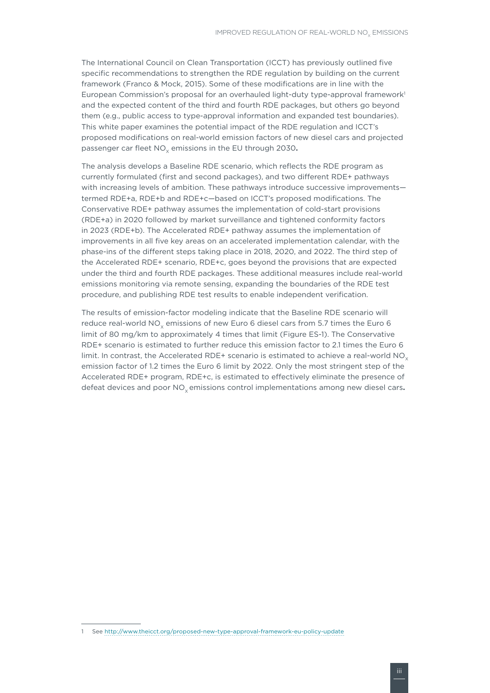The International Council on Clean Transportation (ICCT) has previously outlined five specific recommendations to strengthen the RDE regulation by building on the current framework (Franco & Mock, 2015). Some of these modifications are in line with the European Commission's proposal for an overhauled light-duty type-approval framework<sup>1</sup> and the expected content of the third and fourth RDE packages, but others go beyond them (e.g., public access to type-approval information and expanded test boundaries). This white paper examines the potential impact of the RDE regulation and ICCT's proposed modifications on real-world emission factors of new diesel cars and projected passenger car fleet NO<sub>v</sub> emissions in the EU through 2030.

The analysis develops a Baseline RDE scenario, which reflects the RDE program as currently formulated (first and second packages), and two different RDE+ pathways with increasing levels of ambition. These pathways introduce successive improvements termed RDE+a, RDE+b and RDE+c—based on ICCT's proposed modifications. The Conservative RDE+ pathway assumes the implementation of cold-start provisions (RDE+a) in 2020 followed by market surveillance and tightened conformity factors in 2023 (RDE+b). The Accelerated RDE+ pathway assumes the implementation of improvements in all five key areas on an accelerated implementation calendar, with the phase-ins of the different steps taking place in 2018, 2020, and 2022. The third step of the Accelerated RDE+ scenario, RDE+c, goes beyond the provisions that are expected under the third and fourth RDE packages. These additional measures include real-world emissions monitoring via remote sensing, expanding the boundaries of the RDE test procedure, and publishing RDE test results to enable independent verification.

The results of emission-factor modeling indicate that the Baseline RDE scenario will reduce real-world NO<sub>v</sub> emissions of new Euro 6 diesel cars from 5.7 times the Euro 6 limit of 80 mg/km to approximately 4 times that limit (Figure ES-1). The Conservative RDE+ scenario is estimated to further reduce this emission factor to 2.1 times the Euro 6 limit. In contrast, the Accelerated RDE+ scenario is estimated to achieve a real-world NO<sub> $\checkmark$ </sub> emission factor of 1.2 times the Euro 6 limit by 2022. Only the most stringent step of the Accelerated RDE+ program, RDE+c, is estimated to effectively eliminate the presence of defeat devices and poor NO<sub>y</sub> emissions control implementations among new diesel cars.

<sup>1</sup> See<http://www.theicct.org/proposed-new-type-approval-framework-eu-policy-update>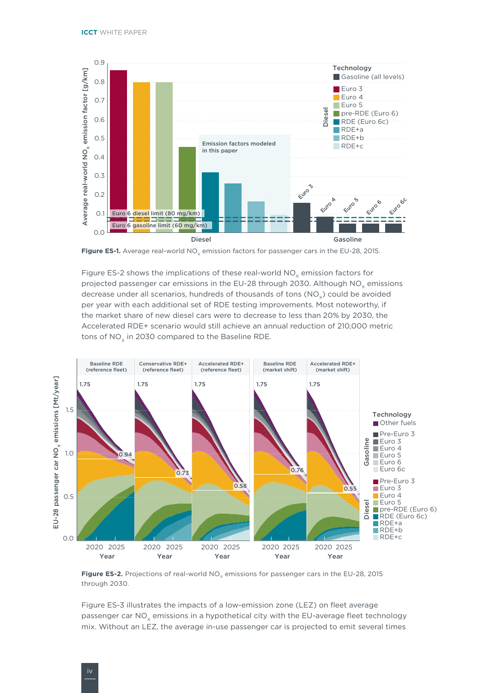

Figure ES-1. Average real-world NO<sub>v</sub> emission factors for passenger cars in the EU-28, 2015.

Figure ES-2 shows the implications of these real-world  $NO<sub>v</sub>$  emission factors for projected passenger car emissions in the EU-28 through 2030. Although  $NO<sub>v</sub>$  emissions decrease under all scenarios, hundreds of thousands of tons (NO<sub>v</sub>) could be avoided per year with each additional set of RDE testing improvements. Most noteworthy, if the market share of new diesel cars were to decrease to less than 20% by 2030, the Accelerated RDE+ scenario would still achieve an annual reduction of 210,000 metric tons of NO<sub>v</sub> in 2030 compared to the Baseline RDE.



Figure ES-2. Projections of real-world NO<sub>v</sub> emissions for passenger cars in the EU-28, 2015 through 2030.

Figure ES-3 illustrates the impacts of a low-emission zone (LEZ) on fleet average passenger car NO<sub>v</sub> emissions in a hypothetical city with the EU-average fleet technology mix. Without an LEZ, the average in-use passenger car is projected to emit several times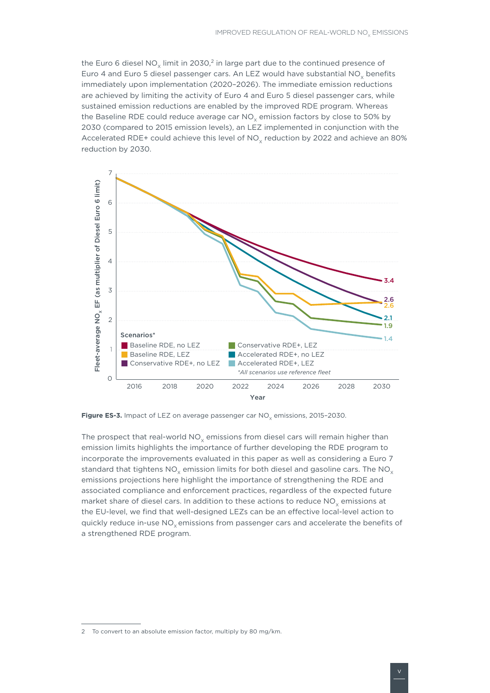the Euro 6 diesel NO<sub>x</sub> limit in 2030,<sup>2</sup> in large part due to the continued presence of Euro 4 and Euro 5 diesel passenger cars. An LEZ would have substantial NO<sub>v</sub> benefits immediately upon implementation (2020–2026). The immediate emission reductions are achieved by limiting the activity of Euro 4 and Euro 5 diesel passenger cars, while sustained emission reductions are enabled by the improved RDE program. Whereas the Baseline RDE could reduce average car  $NO<sub>x</sub>$  emission factors by close to 50% by 2030 (compared to 2015 emission levels), an LEZ implemented in conjunction with the Accelerated RDE+ could achieve this level of  $NO<sub>v</sub>$  reduction by 2022 and achieve an 80% reduction by 2030.



Figure ES-3. Impact of LEZ on average passenger car NO<sub>v</sub> emissions, 2015-2030.

The prospect that real-world  $NO<sub>x</sub>$  emissions from diesel cars will remain higher than emission limits highlights the importance of further developing the RDE program to incorporate the improvements evaluated in this paper as well as considering a Euro 7 standard that tightens  $NO_x$  emission limits for both diesel and gasoline cars. The  $NO_x$ emissions projections here highlight the importance of strengthening the RDE and associated compliance and enforcement practices, regardless of the expected future market share of diesel cars. In addition to these actions to reduce NO<sub>v</sub> emissions at the EU-level, we find that well-designed LEZs can be an effective local-level action to quickly reduce in-use NO<sub>v</sub> emissions from passenger cars and accelerate the benefits of a strengthened RDE program.

<sup>2</sup> To convert to an absolute emission factor, multiply by 80 mg/km.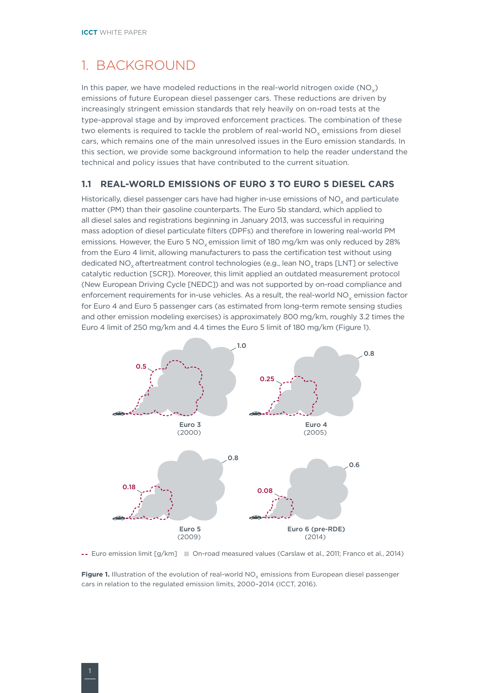# <span id="page-7-0"></span>1. BACKGROUND

In this paper, we have modeled reductions in the real-world nitrogen oxide  $(NO<sub>.)</sub>)$ emissions of future European diesel passenger cars. These reductions are driven by increasingly stringent emission standards that rely heavily on on-road tests at the type-approval stage and by improved enforcement practices. The combination of these two elements is required to tackle the problem of real-world  $NO<sub>v</sub>$  emissions from diesel cars, which remains one of the main unresolved issues in the Euro emission standards. In this section, we provide some background information to help the reader understand the technical and policy issues that have contributed to the current situation.

#### **1.1 REAL-WORLD EMISSIONS OF EURO 3 TO EURO 5 DIESEL CARS**

Historically, diesel passenger cars have had higher in-use emissions of NO<sub>y</sub> and particulate matter (PM) than their gasoline counterparts. The Euro 5b standard, which applied to all diesel sales and registrations beginning in January 2013, was successful in requiring mass adoption of diesel particulate filters (DPFs) and therefore in lowering real-world PM emissions. However, the Euro 5 NO<sub>v</sub> emission limit of 180 mg/km was only reduced by 28% from the Euro 4 limit, allowing manufacturers to pass the certification test without using dedicated NO<sub>v</sub> aftertreatment control technologies (e.g., lean NO<sub>v</sub> traps [LNT] or selective catalytic reduction [SCR]). Moreover, this limit applied an outdated measurement protocol (New European Driving Cycle [NEDC]) and was not supported by on-road compliance and enforcement requirements for in-use vehicles. As a result, the real-world NO<sub>v</sub> emission factor for Euro 4 and Euro 5 passenger cars (as estimated from long-term remote sensing studies and other emission modeling exercises) is approximately 800 mg/km, roughly 3.2 times the Euro 4 limit of 250 mg/km and 4.4 times the Euro 5 limit of 180 mg/km (Figure 1).



-- Euro emission limit [g/km] Cn-road measured values (Carslaw et al., 2011; Franco et al., 2014)

Figure 1. Illustration of the evolution of real-world NO<sub>v</sub> emissions from European diesel passenger cars in relation to the regulated emission limits, 2000–2014 (ICCT, 2016).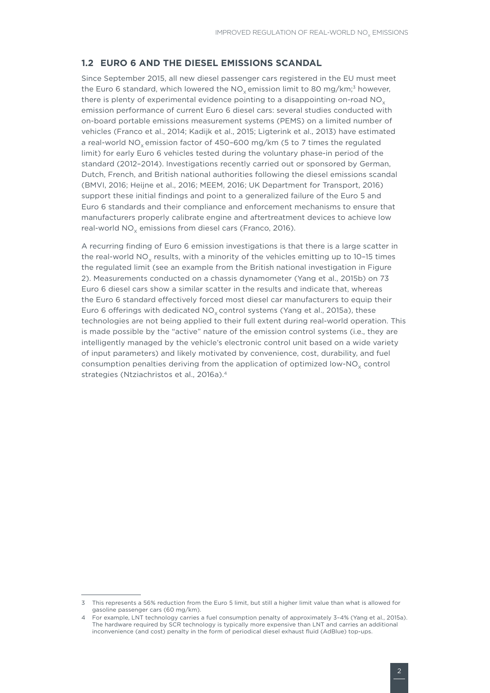#### <span id="page-8-0"></span>**1.2 EURO 6 AND THE DIESEL EMISSIONS SCANDAL**

Since September 2015, all new diesel passenger cars registered in the EU must meet the Euro 6 standard, which lowered the  $NO<sub>x</sub>$  emission limit to 80 mg/km;<sup>3</sup> however, there is plenty of experimental evidence pointing to a disappointing on-road  $NO<sub>x</sub>$ emission performance of current Euro 6 diesel cars: several studies conducted with on-board portable emissions measurement systems (PEMS) on a limited number of vehicles (Franco et al., 2014; Kadijk et al., 2015; Ligterink et al., 2013) have estimated a real-world NO<sub>y</sub> emission factor of 450-600 mg/km (5 to 7 times the regulated limit) for early Euro 6 vehicles tested during the voluntary phase-in period of the standard (2012–2014). Investigations recently carried out or sponsored by German, Dutch, French, and British national authorities following the diesel emissions scandal (BMVI, 2016; Heijne et al., 2016; MEEM, 2016; UK Department for Transport, 2016) support these initial findings and point to a generalized failure of the Euro 5 and Euro 6 standards and their compliance and enforcement mechanisms to ensure that manufacturers properly calibrate engine and aftertreatment devices to achieve low real-world NO<sub>v</sub> emissions from diesel cars (Franco, 2016).

A recurring finding of Euro 6 emission investigations is that there is a large scatter in the real-world  $NO<sub>y</sub>$  results, with a minority of the vehicles emitting up to 10-15 times the regulated limit (see an example from the British national investigation in Figure 2). Measurements conducted on a chassis dynamometer (Yang et al., 2015b) on 73 Euro 6 diesel cars show a similar scatter in the results and indicate that, whereas the Euro 6 standard effectively forced most diesel car manufacturers to equip their Euro 6 offerings with dedicated  $NO<sub>x</sub>$  control systems (Yang et al., 2015a), these technologies are not being applied to their full extent during real-world operation. This is made possible by the "active" nature of the emission control systems (i.e., they are intelligently managed by the vehicle's electronic control unit based on a wide variety of input parameters) and likely motivated by convenience, cost, durability, and fuel consumption penalties deriving from the application of optimized low-NO<sub> $x$ </sub> control strategies (Ntziachristos et al., 2016a).<sup>4</sup>

<sup>3</sup> This represents a 56% reduction from the Euro 5 limit, but still a higher limit value than what is allowed for gasoline passenger cars (60 mg/km).

For example, LNT technology carries a fuel consumption penalty of approximately 3-4% (Yang et al., 2015a). The hardware required by SCR technology is typically more expensive than LNT and carries an additional inconvenience (and cost) penalty in the form of periodical diesel exhaust fluid (AdBlue) top-ups.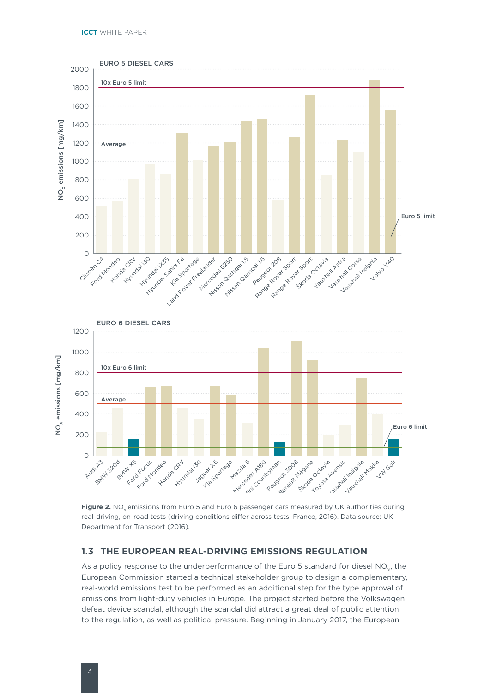<span id="page-9-0"></span>

Figure 2. NO<sub>v</sub> emissions from Euro 5 and Euro 6 passenger cars measured by UK authorities during real-driving, on-road tests (driving conditions differ across tests; Franco, 2016). Data source: UK Department for Transport (2016).

#### **1.3 THE EUROPEAN REAL-DRIVING EMISSIONS REGULATION**

As a policy response to the underperformance of the Euro 5 standard for diesel NO<sub>v</sub>, the European Commission started a technical stakeholder group to design a complementary, real-world emissions test to be performed as an additional step for the type approval of emissions from light-duty vehicles in Europe. The project started before the Volkswagen defeat device scandal, although the scandal did attract a great deal of public attention to the regulation, as well as political pressure. Beginning in January 2017, the European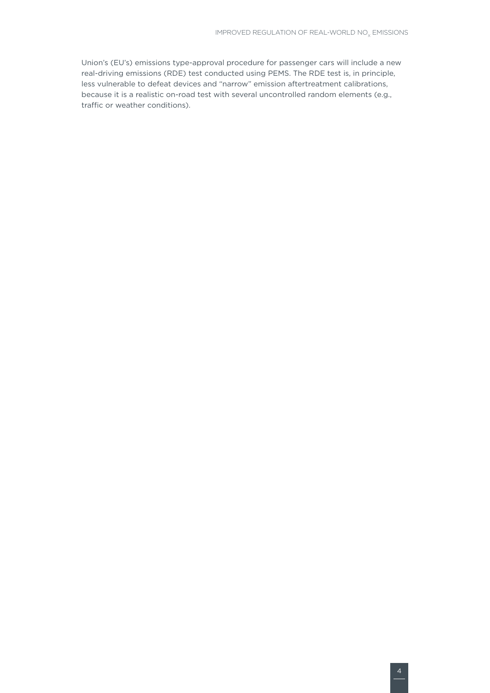Union's (EU's) emissions type-approval procedure for passenger cars will include a new real-driving emissions (RDE) test conducted using PEMS. The RDE test is, in principle, less vulnerable to defeat devices and "narrow" emission aftertreatment calibrations, because it is a realistic on-road test with several uncontrolled random elements (e.g., traffic or weather conditions).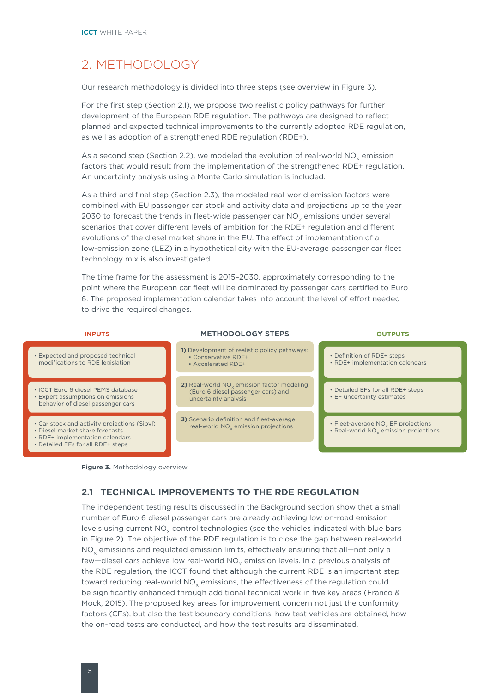# <span id="page-11-0"></span>2. METHODOLOGY

Our research methodology is divided into three steps (see overview in Figure 3).

For the first step (Section 2.1), we propose two realistic policy pathways for further development of the European RDE regulation. The pathways are designed to reflect planned and expected technical improvements to the currently adopted RDE regulation, as well as adoption of a strengthened RDE regulation (RDE+).

As a second step (Section 2.2), we modeled the evolution of real-world  $NO<sub>x</sub>$  emission factors that would result from the implementation of the strengthened RDE+ regulation. An uncertainty analysis using a Monte Carlo simulation is included.

As a third and final step (Section 2.3), the modeled real-world emission factors were combined with EU passenger car stock and activity data and projections up to the year 2030 to forecast the trends in fleet-wide passenger car  $NO<sub>v</sub>$  emissions under several scenarios that cover different levels of ambition for the RDE+ regulation and different evolutions of the diesel market share in the EU. The effect of implementation of a low-emission zone (LEZ) in a hypothetical city with the EU-average passenger car fleet technology mix is also investigated.

The time frame for the assessment is 2015–2030, approximately corresponding to the point where the European car fleet will be dominated by passenger cars certified to Euro 6. The proposed implementation calendar takes into account the level of effort needed to drive the required changes.





#### **2.1 TECHNICAL IMPROVEMENTS TO THE RDE REGULATION**

The independent testing results discussed in the Background section show that a small number of Euro 6 diesel passenger cars are already achieving low on-road emission levels using current NO<sub>y</sub> control technologies (see the vehicles indicated with blue bars in Figure 2). The objective of the RDE regulation is to close the gap between real-world NO<sub>v</sub> emissions and regulated emission limits, effectively ensuring that all—not only a few—diesel cars achieve low real-world  $NO<sub>y</sub>$  emission levels. In a previous analysis of the RDE regulation, the ICCT found that although the current RDE is an important step toward reducing real-world NO<sub>v</sub> emissions, the effectiveness of the regulation could be significantly enhanced through additional technical work in five key areas (Franco & Mock, 2015). The proposed key areas for improvement concern not just the conformity factors (CFs), but also the test boundary conditions, how test vehicles are obtained, how the on-road tests are conducted, and how the test results are disseminated.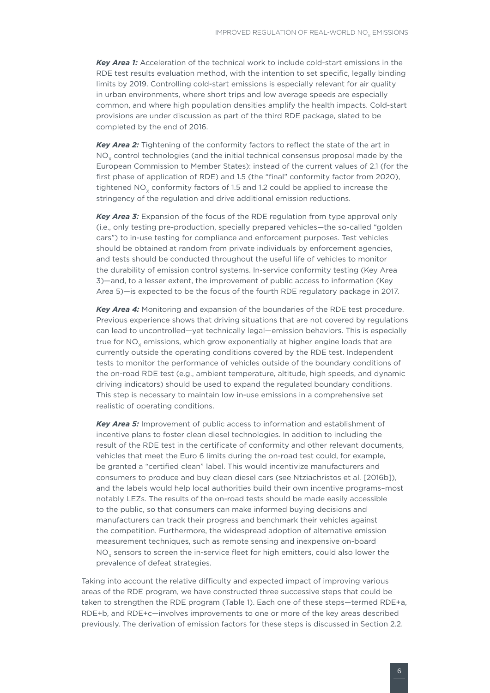*Key Area 1:* Acceleration of the technical work to include cold-start emissions in the RDE test results evaluation method, with the intention to set specific, legally binding limits by 2019. Controlling cold-start emissions is especially relevant for air quality in urban environments, where short trips and low average speeds are especially common, and where high population densities amplify the health impacts. Cold-start provisions are under discussion as part of the third RDE package, slated to be completed by the end of 2016.

*Key Area 2:* Tightening of the conformity factors to reflect the state of the art in NO<sub>y</sub> control technologies (and the initial technical consensus proposal made by the European Commission to Member States): instead of the current values of 2.1 (for the first phase of application of RDE) and 1.5 (the "final" conformity factor from 2020), tightened  $NO<sub>v</sub>$  conformity factors of 1.5 and 1.2 could be applied to increase the stringency of the regulation and drive additional emission reductions.

*Key Area 3:* Expansion of the focus of the RDE regulation from type approval only (i.e., only testing pre-production, specially prepared vehicles—the so-called "golden cars") to in-use testing for compliance and enforcement purposes. Test vehicles should be obtained at random from private individuals by enforcement agencies, and tests should be conducted throughout the useful life of vehicles to monitor the durability of emission control systems. In-service conformity testing (Key Area 3)—and, to a lesser extent, the improvement of public access to information (Key Area 5)—is expected to be the focus of the fourth RDE regulatory package in 2017.

*Key Area 4:* Monitoring and expansion of the boundaries of the RDE test procedure. Previous experience shows that driving situations that are not covered by regulations can lead to uncontrolled—yet technically legal—emission behaviors. This is especially true for NO<sub>y</sub> emissions, which grow exponentially at higher engine loads that are currently outside the operating conditions covered by the RDE test. Independent tests to monitor the performance of vehicles outside of the boundary conditions of the on-road RDE test (e.g., ambient temperature, altitude, high speeds, and dynamic driving indicators) should be used to expand the regulated boundary conditions. This step is necessary to maintain low in-use emissions in a comprehensive set realistic of operating conditions.

*Key Area 5:* Improvement of public access to information and establishment of incentive plans to foster clean diesel technologies. In addition to including the result of the RDE test in the certificate of conformity and other relevant documents, vehicles that meet the Euro 6 limits during the on-road test could, for example, be granted a "certified clean" label. This would incentivize manufacturers and consumers to produce and buy clean diesel cars (see Ntziachristos et al. [2016b]), and the labels would help local authorities build their own incentive programs–most notably LEZs. The results of the on-road tests should be made easily accessible to the public, so that consumers can make informed buying decisions and manufacturers can track their progress and benchmark their vehicles against the competition. Furthermore, the widespread adoption of alternative emission measurement techniques, such as remote sensing and inexpensive on-board  $NO<sub>x</sub>$  sensors to screen the in-service fleet for high emitters, could also lower the prevalence of defeat strategies.

Taking into account the relative difficulty and expected impact of improving various areas of the RDE program, we have constructed three successive steps that could be taken to strengthen the RDE program (Table 1). Each one of these steps—termed RDE+a, RDE+b, and RDE+c—involves improvements to one or more of the key areas described previously. The derivation of emission factors for these steps is discussed in Section 2.2.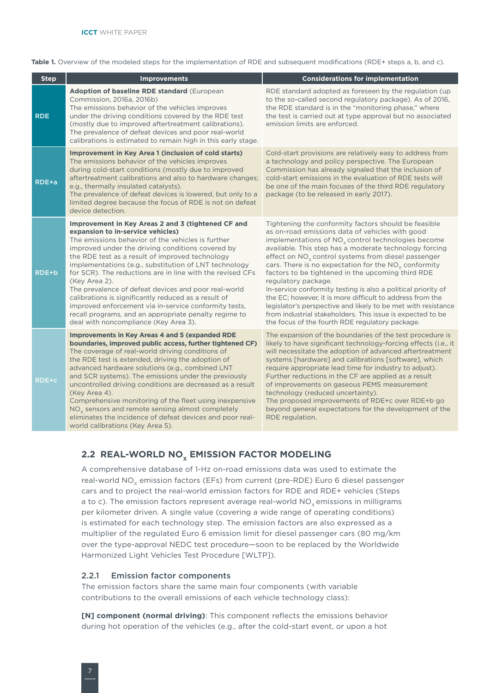<span id="page-13-0"></span>Table 1. Overview of the modeled steps for the implementation of RDE and subsequent modifications (RDE+ steps a, b, and c).

| <b>Step</b>  | <b>Improvements</b>                                                                                                                                                                                                                                                                                                                                                                                                                                                                                                                                                                                                                                                   | <b>Considerations for implementation</b>                                                                                                                                                                                                                                                                                                                                                                                                                                                                                                                                                                                                                                                                                                           |
|--------------|-----------------------------------------------------------------------------------------------------------------------------------------------------------------------------------------------------------------------------------------------------------------------------------------------------------------------------------------------------------------------------------------------------------------------------------------------------------------------------------------------------------------------------------------------------------------------------------------------------------------------------------------------------------------------|----------------------------------------------------------------------------------------------------------------------------------------------------------------------------------------------------------------------------------------------------------------------------------------------------------------------------------------------------------------------------------------------------------------------------------------------------------------------------------------------------------------------------------------------------------------------------------------------------------------------------------------------------------------------------------------------------------------------------------------------------|
| <b>RDE</b>   | Adoption of baseline RDE standard (European<br>Commission, 2016a, 2016b)<br>The emissions behavior of the vehicles improves<br>under the driving conditions covered by the RDE test<br>(mostly due to improved aftertreatment calibrations).<br>The prevalence of defeat devices and poor real-world<br>calibrations is estimated to remain high in this early stage.                                                                                                                                                                                                                                                                                                 | RDE standard adopted as foreseen by the regulation (up)<br>to the so-called second regulatory package). As of 2016,<br>the RDE standard is in the "monitoring phase," where<br>the test is carried out at type approval but no associated<br>emission limits are enforced.                                                                                                                                                                                                                                                                                                                                                                                                                                                                         |
| RDE+a        | <b>Improvement in Key Area 1 (inclusion of cold starts)</b><br>The emissions behavior of the vehicles improves<br>during cold-start conditions (mostly due to improved<br>aftertreatment calibrations and also to hardware changes;<br>e.g., thermally insulated catalysts).<br>The prevalence of defeat devices is lowered, but only to a<br>limited degree because the focus of RDE is not on defeat<br>device detection.                                                                                                                                                                                                                                           | Cold-start provisions are relatively easy to address from<br>a technology and policy perspective. The European<br>Commission has already signaled that the inclusion of<br>cold-start emissions in the evaluation of RDE tests will<br>be one of the main focuses of the third RDE regulatory<br>package (to be released in early 2017).                                                                                                                                                                                                                                                                                                                                                                                                           |
| RDE+b        | Improvement in Key Areas 2 and 3 (tightened CF and<br>expansion to in-service vehicles)<br>The emissions behavior of the vehicles is further<br>improved under the driving conditions covered by<br>the RDE test as a result of improved technology<br>implementations (e.g., substitution of LNT technology<br>for SCR). The reductions are in line with the revised CFs<br>(Key Area 2).<br>The prevalence of defeat devices and poor real-world<br>calibrations is significantly reduced as a result of<br>improved enforcement via in-service conformity tests,<br>recall programs, and an appropriate penalty regime to<br>deal with noncompliance (Key Area 3). | Tightening the conformity factors should be feasible<br>as on-road emissions data of vehicles with good<br>implementations of NO <sub>x</sub> control technologies become<br>available. This step has a moderate technology forcing<br>effect on $NOx$ control systems from diesel passenger<br>cars. There is no expectation for the $NOx$ conformity<br>factors to be tightened in the upcoming third RDE<br>regulatory package.<br>In-service conformity testing is also a political priority of<br>the EC; however, it is more difficult to address from the<br>legislator's perspective and likely to be met with resistance<br>from industrial stakeholders. This issue is expected to be<br>the focus of the fourth RDE regulatory package. |
| <b>RDE+c</b> | <b>Improvements in Key Areas 4 and 5 (expanded RDE</b><br>boundaries, improved public access, further tightened CF)<br>The coverage of real-world driving conditions of<br>the RDE test is extended, driving the adoption of<br>advanced hardware solutions (e.g., combined LNT<br>and SCR systems). The emissions under the previously<br>uncontrolled driving conditions are decreased as a result<br>(Key Area 4).<br>Comprehensive monitoring of the fleet using inexpensive<br>NO <sub>v</sub> sensors and remote sensing almost completely<br>eliminates the incidence of defeat devices and poor real-<br>world calibrations (Key Area 5).                     | The expansion of the boundaries of the test procedure is<br>likely to have significant technology-forcing effects (i.e., it<br>will necessitate the adoption of advanced aftertreatment<br>systems [hardware] and calibrations [software], which<br>require appropriate lead time for industry to adjust).<br>Further reductions in the CF are applied as a result<br>of improvements on gaseous PEMS measurement<br>technology (reduced uncertainty).<br>The proposed improvements of RDE+c over RDE+b go<br>beyond general expectations for the development of the<br>RDE regulation.                                                                                                                                                            |

#### **2.2 REAL-WORLD NO<sub>x</sub> EMISSION FACTOR MODELING**

A comprehensive database of 1-Hz on-road emissions data was used to estimate the real-world NO<sub>y</sub> emission factors (EFs) from current (pre-RDE) Euro 6 diesel passenger cars and to project the real-world emission factors for RDE and RDE+ vehicles (Steps a to c). The emission factors represent average real-world  $NO<sub>v</sub>$  emissions in milligrams per kilometer driven. A single value (covering a wide range of operating conditions) is estimated for each technology step. The emission factors are also expressed as a multiplier of the regulated Euro 6 emission limit for diesel passenger cars (80 mg/km over the type-approval NEDC test procedure—soon to be replaced by the Worldwide Harmonized Light Vehicles Test Procedure [WLTP]).

#### 2.2.1 Emission factor components

The emission factors share the same main four components (with variable contributions to the overall emissions of each vehicle technology class):

**[N] component (normal driving)**: This component reflects the emissions behavior during hot operation of the vehicles (e.g., after the cold-start event, or upon a hot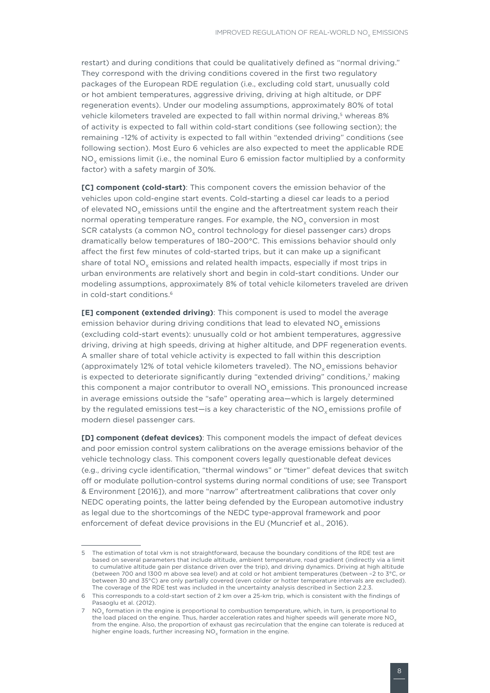restart) and during conditions that could be qualitatively defined as "normal driving." They correspond with the driving conditions covered in the first two regulatory packages of the European RDE regulation (i.e., excluding cold start, unusually cold or hot ambient temperatures, aggressive driving, driving at high altitude, or DPF regeneration events). Under our modeling assumptions, approximately 80% of total vehicle kilometers traveled are expected to fall within normal driving,<sup>5</sup> whereas 8% of activity is expected to fall within cold-start conditions (see following section); the remaining ~12% of activity is expected to fall within "extended driving" conditions (see following section). Most Euro 6 vehicles are also expected to meet the applicable RDE  $NO<sub>x</sub>$  emissions limit (i.e., the nominal Euro 6 emission factor multiplied by a conformity factor) with a safety margin of 30%.

**[C] component (cold-start)**: This component covers the emission behavior of the vehicles upon cold-engine start events. Cold-starting a diesel car leads to a period of elevated NO<sub>v</sub> emissions until the engine and the aftertreatment system reach their normal operating temperature ranges. For example, the  $NO<sub>x</sub>$  conversion in most SCR catalysts (a common NO<sub>v</sub> control technology for diesel passenger cars) drops dramatically below temperatures of 180–200°C. This emissions behavior should only affect the first few minutes of cold-started trips, but it can make up a significant share of total  $NO<sub>v</sub>$  emissions and related health impacts, especially if most trips in urban environments are relatively short and begin in cold-start conditions. Under our modeling assumptions, approximately 8% of total vehicle kilometers traveled are driven in cold-start conditions.6

**[E] component (extended driving)**: This component is used to model the average emission behavior during driving conditions that lead to elevated NO<sub>v</sub> emissions (excluding cold-start events): unusually cold or hot ambient temperatures, aggressive driving, driving at high speeds, driving at higher altitude, and DPF regeneration events. A smaller share of total vehicle activity is expected to fall within this description (approximately 12% of total vehicle kilometers traveled). The  $NO<sub>v</sub>$  emissions behavior is expected to deteriorate significantly during "extended driving" conditions,7 making this component a major contributor to overall  $NO<sub>v</sub>$  emissions. This pronounced increase in average emissions outside the "safe" operating area—which is largely determined by the regulated emissions test—is a key characteristic of the  $NO<sub>x</sub>$  emissions profile of modern diesel passenger cars.

**[D] component (defeat devices)**: This component models the impact of defeat devices and poor emission control system calibrations on the average emissions behavior of the vehicle technology class. This component covers legally questionable defeat devices (e.g., driving cycle identification, "thermal windows" or "timer" defeat devices that switch off or modulate pollution-control systems during normal conditions of use; see Transport & Environment [2016]), and more "narrow" aftertreatment calibrations that cover only NEDC operating points, the latter being defended by the European automotive industry as legal due to the shortcomings of the NEDC type-approval framework and poor enforcement of defeat device provisions in the EU (Muncrief et al., 2016).

<sup>5</sup> The estimation of total vkm is not straightforward, because the boundary conditions of the RDE test are based on several parameters that include altitude, ambient temperature, road gradient (indirectly via a limit to cumulative altitude gain per distance driven over the trip), and driving dynamics. Driving at high altitude (between 700 and 1300 m above sea level) and at cold or hot ambient temperatures (between –2 to 3°C, or between 30 and 35°C) are only partially covered (even colder or hotter temperature intervals are excluded). The coverage of the RDE test was included in the uncertainty analysis described in Section 2.2.3.

This corresponds to a cold-start section of 2 km over a 25-km trip, which is consistent with the findings of Pasaoglu et al. (2012).

NO<sub>y</sub> formation in the engine is proportional to combustion temperature, which, in turn, is proportional to the load placed on the engine. Thus, harder acceleration rates and higher speeds will generate more NO<sub>3</sub> from the engine. Also, the proportion of exhaust gas recirculation that the engine can tolerate is reduced at higher engine loads, further increasing  $NO<sub>x</sub>$  formation in the engine.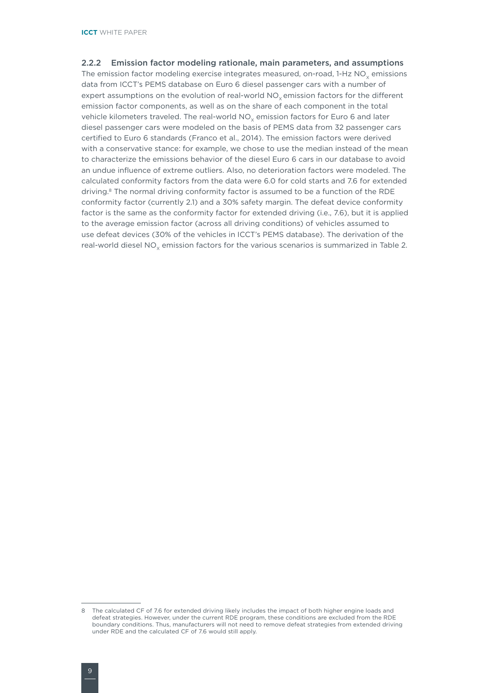#### <span id="page-15-0"></span>2.2.2 Emission factor modeling rationale, main parameters, and assumptions

The emission factor modeling exercise integrates measured, on-road,  $1-Hz NO<sub>v</sub>$  emissions data from ICCT's PEMS database on Euro 6 diesel passenger cars with a number of expert assumptions on the evolution of real-world  $NO<sub>x</sub>$  emission factors for the different emission factor components, as well as on the share of each component in the total vehicle kilometers traveled. The real-world  $NO<sub>x</sub>$  emission factors for Euro 6 and later diesel passenger cars were modeled on the basis of PEMS data from 32 passenger cars certified to Euro 6 standards (Franco et al., 2014). The emission factors were derived with a conservative stance: for example, we chose to use the median instead of the mean to characterize the emissions behavior of the diesel Euro 6 cars in our database to avoid an undue influence of extreme outliers. Also, no deterioration factors were modeled. The calculated conformity factors from the data were 6.0 for cold starts and 7.6 for extended driving.8 The normal driving conformity factor is assumed to be a function of the RDE conformity factor (currently 2.1) and a 30% safety margin. The defeat device conformity factor is the same as the conformity factor for extended driving (i.e., 7.6), but it is applied to the average emission factor (across all driving conditions) of vehicles assumed to use defeat devices (30% of the vehicles in ICCT's PEMS database). The derivation of the real-world diesel  $NO_x$  emission factors for the various scenarios is summarized in Table 2.

<sup>8</sup> The calculated CF of 7.6 for extended driving likely includes the impact of both higher engine loads and defeat strategies. However, under the current RDE program, these conditions are excluded from the RDE boundary conditions. Thus, manufacturers will not need to remove defeat strategies from extended driving under RDE and the calculated CF of 7.6 would still apply.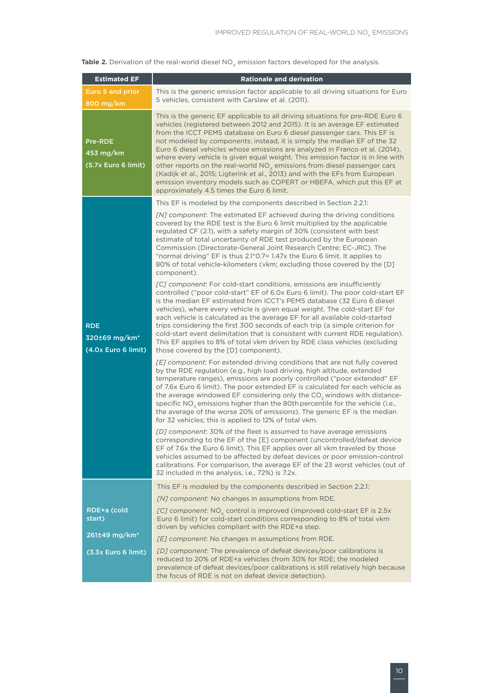| <b>Table 2.</b> Derivation of the real-world diesel $NOv$ emission factors developed for the analysis. |  |  |  |  |  |  |
|--------------------------------------------------------------------------------------------------------|--|--|--|--|--|--|
|--------------------------------------------------------------------------------------------------------|--|--|--|--|--|--|

| <b>Estimated EF</b>                                            | <b>Rationale and derivation</b>                                                                                                                                                                                                                                                                                                                                                                                                                                                                                                                                                                                                                                                                                                                                              |
|----------------------------------------------------------------|------------------------------------------------------------------------------------------------------------------------------------------------------------------------------------------------------------------------------------------------------------------------------------------------------------------------------------------------------------------------------------------------------------------------------------------------------------------------------------------------------------------------------------------------------------------------------------------------------------------------------------------------------------------------------------------------------------------------------------------------------------------------------|
| Euro 5 and prior<br>800 mg/km                                  | This is the generic emission factor applicable to all driving situations for Euro<br>5 vehicles, consistent with Carslaw et al. (2011).                                                                                                                                                                                                                                                                                                                                                                                                                                                                                                                                                                                                                                      |
| <b>Pre-RDE</b><br>453 mg/km<br>(5.7x Euro 6 limit)             | This is the generic EF applicable to all driving situations for pre-RDE Euro 6<br>vehicles (registered between 2012 and 2015). It is an average EF estimated<br>from the ICCT PEMS database on Euro 6 diesel passenger cars. This EF is<br>not modeled by components; instead, it is simply the median EF of the 32<br>Euro 6 diesel vehicles whose emissions are analyzed in Franco et al. (2014),<br>where every vehicle is given equal weight. This emission factor is in line with<br>other reports on the real-world $NOx$ emissions from diesel passenger cars<br>(Kadijk et al., 2015; Ligterink et al., 2013) and with the EFs from European<br>emission inventory models such as COPERT or HBEFA, which put this EF at<br>approximately 4.5 times the Euro 6 limit. |
|                                                                | This EF is modeled by the components described in Section 2.2.1:                                                                                                                                                                                                                                                                                                                                                                                                                                                                                                                                                                                                                                                                                                             |
|                                                                | [N] component: The estimated EF achieved during the driving conditions<br>covered by the RDE test is the Euro 6 limit multiplied by the applicable<br>regulated CF (2.1), with a safety margin of 30% (consistent with best<br>estimate of total uncertainty of RDE test produced by the European<br>Commission (Directorate-General Joint Research Centre; EC-JRC). The<br>"normal driving" EF is thus 2.1*0.7= 1.47x the Euro 6 limit. It applies to<br>80% of total vehicle-kilometers (vkm; excluding those covered by the [D]<br>component).                                                                                                                                                                                                                            |
| <b>RDE</b><br>320±69 mg/km <sup>*</sup><br>(4.0x Euro 6 limit) | [C] component: For cold-start conditions, emissions are insufficiently<br>controlled ("poor cold-start" EF of 6.0x Euro 6 limit). The poor cold-start EF<br>is the median EF estimated from ICCT's PEMS database (32 Euro 6 diesel<br>vehicles), where every vehicle is given equal weight. The cold-start EF for<br>each vehicle is calculated as the average EF for all available cold-started<br>trips considering the first 300 seconds of each trip (a simple criterion for<br>cold-start event delimitation that is consistent with current RDE regulation).<br>This EF applies to 8% of total vkm driven by RDE class vehicles (excluding<br>those covered by the [D] component).                                                                                     |
|                                                                | [E] component: For extended driving conditions that are not fully covered<br>by the RDE regulation (e.g., high load driving, high altitude, extended<br>temperature ranges), emissions are poorly controlled ("poor extended" EF<br>of 7.6x Euro 6 limit). The poor extended EF is calculated for each vehicle as<br>the average windowed EF considering only the CO <sub>2</sub> windows with distance-<br>specific $NOx$ emissions higher than the 80th percentile for the vehicle (i.e.,<br>the average of the worse 20% of emissions). The generic EF is the median<br>for 32 vehicles; this is applied to 12% of total vkm.                                                                                                                                             |
|                                                                | [D] component: 30% of the fleet is assumed to have average emissions<br>corresponding to the EF of the [E] component (uncontrolled/defeat device<br>EF of 7.6x the Euro 6 limit). This EF applies over all vkm traveled by those<br>vehicles assumed to be affected by defeat devices or poor emission-control<br>calibrations. For comparison, the average EF of the 23 worst vehicles (out of<br>32 included in the analysis, i.e., 72%) is 7.2x.                                                                                                                                                                                                                                                                                                                          |
|                                                                | This EF is modeled by the components described in Section 2.2.1:                                                                                                                                                                                                                                                                                                                                                                                                                                                                                                                                                                                                                                                                                                             |
|                                                                | [N] component: No changes in assumptions from RDE.                                                                                                                                                                                                                                                                                                                                                                                                                                                                                                                                                                                                                                                                                                                           |
| RDE+a (cold<br>start)                                          | [C] component: $NOx$ control is improved (improved cold-start EF is 2.5x<br>Euro 6 limit) for cold-start conditions corresponding to 8% of total vkm<br>driven by vehicles compliant with the RDE+a step.                                                                                                                                                                                                                                                                                                                                                                                                                                                                                                                                                                    |
| 261±49 mg/km*                                                  | [E] component: No changes in assumptions from RDE.                                                                                                                                                                                                                                                                                                                                                                                                                                                                                                                                                                                                                                                                                                                           |
| (3.3x Euro 6 limit)                                            | [D] component: The prevalence of defeat devices/poor calibrations is<br>reduced to 20% of RDE+a vehicles (from 30% for RDE; the modeled<br>prevalence of defeat devices/poor calibrations is still relatively high because<br>the focus of RDE is not on defeat device detection).                                                                                                                                                                                                                                                                                                                                                                                                                                                                                           |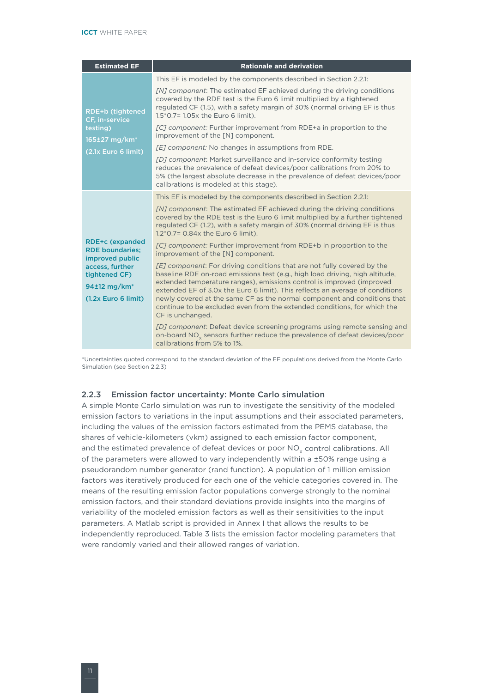<span id="page-17-0"></span>

| <b>Estimated EF</b>                                                                    | <b>Rationale and derivation</b>                                                                                                                                                                                                                                                                                                                                                                                                                                                               |
|----------------------------------------------------------------------------------------|-----------------------------------------------------------------------------------------------------------------------------------------------------------------------------------------------------------------------------------------------------------------------------------------------------------------------------------------------------------------------------------------------------------------------------------------------------------------------------------------------|
|                                                                                        | This EF is modeled by the components described in Section 2.2.1:                                                                                                                                                                                                                                                                                                                                                                                                                              |
| <b>RDE+b (tightened</b><br>CF, in-service                                              | [N] component: The estimated EF achieved during the driving conditions<br>covered by the RDE test is the Euro 6 limit multiplied by a tightened<br>regulated CF (1.5), with a safety margin of 30% (normal driving EF is thus<br>1.5*0.7= 1.05x the Euro 6 limit).                                                                                                                                                                                                                            |
| testing)<br>165±27 mg/km <sup>*</sup>                                                  | [C] component: Further improvement from RDE+a in proportion to the<br>improvement of the [N] component.                                                                                                                                                                                                                                                                                                                                                                                       |
| (2.1x Euro 6 limit)                                                                    | [E] component: No changes in assumptions from RDE.                                                                                                                                                                                                                                                                                                                                                                                                                                            |
|                                                                                        | [D] component: Market surveillance and in-service conformity testing<br>reduces the prevalence of defeat devices/poor calibrations from 20% to<br>5% (the largest absolute decrease in the prevalence of defeat devices/poor<br>calibrations is modeled at this stage).                                                                                                                                                                                                                       |
|                                                                                        | This EF is modeled by the components described in Section 2.2.1:                                                                                                                                                                                                                                                                                                                                                                                                                              |
|                                                                                        | [N] component: The estimated EF achieved during the driving conditions<br>covered by the RDE test is the Euro 6 limit multiplied by a further tightened<br>regulated CF (1.2), with a safety margin of 30% (normal driving EF is thus<br>$1.2*0.7=0.84x$ the Euro 6 limit).                                                                                                                                                                                                                   |
| <b>RDE+c (expanded</b><br><b>RDE boundaries;</b><br>improved public                    | [C] component: Further improvement from RDE+b in proportion to the<br>improvement of the [N] component.                                                                                                                                                                                                                                                                                                                                                                                       |
| access, further<br>tightened CF)<br>94±12 mg/km <sup>*</sup><br>$(1.2x)$ Euro 6 limit) | [E] component: For driving conditions that are not fully covered by the<br>baseline RDE on-road emissions test (e.g., high load driving, high altitude,<br>extended temperature ranges), emissions control is improved (improved<br>extended EF of 3.0x the Euro 6 limit). This reflects an average of conditions<br>newly covered at the same CF as the normal component and conditions that<br>continue to be excluded even from the extended conditions, for which the<br>CF is unchanged. |
|                                                                                        | [D] component: Defeat device screening programs using remote sensing and<br>on-board NO <sub>y</sub> sensors further reduce the prevalence of defeat devices/poor<br>calibrations from 5% to 1%.                                                                                                                                                                                                                                                                                              |

\*Uncertainties quoted correspond to the standard deviation of the EF populations derived from the Monte Carlo Simulation (see Section 2.2.3)

#### 2.2.3 Emission factor uncertainty: Monte Carlo simulation

A simple Monte Carlo simulation was run to investigate the sensitivity of the modeled emission factors to variations in the input assumptions and their associated parameters, including the values of the emission factors estimated from the PEMS database, the shares of vehicle-kilometers (vkm) assigned to each emission factor component, and the estimated prevalence of defeat devices or poor  $NO<sub>x</sub>$  control calibrations. All of the parameters were allowed to vary independently within a ±50% range using a pseudorandom number generator (rand function). A population of 1 million emission factors was iteratively produced for each one of the vehicle categories covered in. The means of the resulting emission factor populations converge strongly to the nominal emission factors, and their standard deviations provide insights into the margins of variability of the modeled emission factors as well as their sensitivities to the input parameters. A Matlab script is provided in Annex I that allows the results to be independently reproduced. Table 3 lists the emission factor modeling parameters that were randomly varied and their allowed ranges of variation.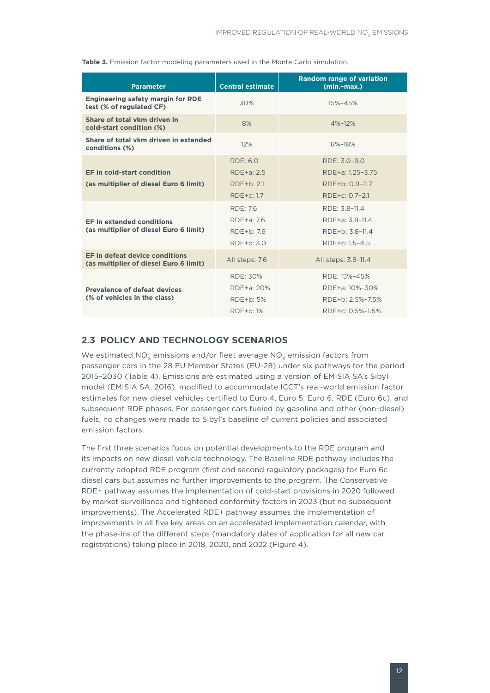| <b>Parameter</b>                                                         | <b>Central estimate</b> | <b>Random range of variation</b><br>$(min - max.)$ |
|--------------------------------------------------------------------------|-------------------------|----------------------------------------------------|
| <b>Engineering safety margin for RDE</b><br>test (% of regulated CF)     | 30%                     | 15%-45%                                            |
| Share of total vkm driven in<br>cold-start condition (%)                 | 8%                      | 4%-12%                                             |
| Share of total vkm driven in extended<br>conditions (%)                  | 12%                     | 6%-18%                                             |
|                                                                          | <b>RDE: 6.0</b>         | RDE: 3.0-9.0                                       |
| <b>EF in cold-start condition</b>                                        | RDE+a: 2.5              | RDE+a: 1.25-3.75                                   |
| (as multiplier of diesel Euro 6 limit)                                   | RDE+b: 2.1              | RDE+b: 0.9-2.7                                     |
|                                                                          | $RDE + c$ : 1.7         | RDE+c: 0.7-2.1                                     |
|                                                                          | RDE: 7.6                | RDE: 3.8-11.4                                      |
| <b>EF in extended conditions</b>                                         | RDE+a: 7.6              | RDE+a: 3.8-11.4                                    |
| (as multiplier of diesel Euro 6 limit)                                   | $RDF + h: 76$           | RDE+b: 3.8-11.4                                    |
|                                                                          | RDE+c: 3.0              | RDE+c: 1.5-4.5                                     |
| EF in defeat device conditions<br>(as multiplier of diesel Euro 6 limit) | All steps: 7.6          | All steps: 3.8-11.4                                |
|                                                                          | RDE: 30%                | RDE: 15%-45%                                       |
| <b>Prevalence of defeat devices</b>                                      | RDE+a: 20%              | RDE+a: 10%-30%                                     |
| (% of vehicles in the class)                                             | RDE+b: 5%               | RDE+b: 2.5%-7.5%                                   |
|                                                                          | RDE+c: 1%               | RDE+c: 0.5%-1.5%                                   |

<span id="page-18-0"></span>**Table 3.** Emission factor modeling parameters used in the Monte Carlo simulation.

### **2.3 POLICY AND TECHNOLOGY SCENARIOS**

We estimated  $NO<sub>x</sub>$  emissions and/or fleet average  $NO<sub>x</sub>$  emission factors from passenger cars in the 28 EU Member States (EU-28) under six pathways for the period 2015–2030 (Table 4). Emissions are estimated using a version of EMISIA SA's Sibyl model (EMISIA SA, 2016), modified to accommodate ICCT's real-world emission factor estimates for new diesel vehicles certified to Euro 4, Euro 5, Euro 6, RDE (Euro 6c), and subsequent RDE phases. For passenger cars fueled by gasoline and other (non-diesel) fuels, no changes were made to Sibyl's baseline of current policies and associated emission factors.

The first three scenarios focus on potential developments to the RDE program and its impacts on new diesel vehicle technology. The Baseline RDE pathway includes the currently adopted RDE program (first and second regulatory packages) for Euro 6c diesel cars but assumes no further improvements to the program. The Conservative RDE+ pathway assumes the implementation of cold-start provisions in 2020 followed by market surveillance and tightened conformity factors in 2023 (but no subsequent improvements). The Accelerated RDE+ pathway assumes the implementation of improvements in all five key areas on an accelerated implementation calendar, with the phase-ins of the different steps (mandatory dates of application for all new car registrations) taking place in 2018, 2020, and 2022 (Figure 4).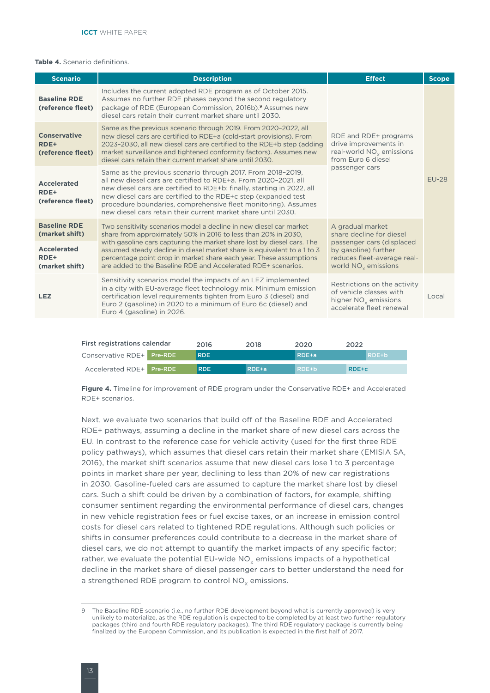#### **Table 4.** Scenario definitions.

| <b>Scenario</b>                                  | <b>Description</b>                                                                                                                                                                                                                                                                                                                                                                                            | <b>Effect</b>                                                                                                           | <b>Scope</b> |  |
|--------------------------------------------------|---------------------------------------------------------------------------------------------------------------------------------------------------------------------------------------------------------------------------------------------------------------------------------------------------------------------------------------------------------------------------------------------------------------|-------------------------------------------------------------------------------------------------------------------------|--------------|--|
| <b>Baseline RDE</b><br>(reference fleet)         | Includes the current adopted RDE program as of October 2015.<br>Assumes no further RDE phases beyond the second regulatory<br>package of RDE (European Commission, 2016b). <sup>9</sup> Assumes new<br>diesel cars retain their current market share until 2030.                                                                                                                                              |                                                                                                                         |              |  |
| <b>Conservative</b><br>RDE+<br>(reference fleet) | Same as the previous scenario through 2019. From 2020-2022, all<br>new diesel cars are certified to RDE+a (cold-start provisions). From<br>2023-2030, all new diesel cars are certified to the RDE+b step (adding<br>market surveillance and tightened conformity factors). Assumes new<br>diesel cars retain their current market share until 2030.                                                          | RDE and RDE+ programs<br>drive improvements in<br>real-world $NOx$ emissions<br>from Euro 6 diesel                      | <b>EU-28</b> |  |
| <b>Accelerated</b><br>RDE+<br>(reference fleet)  | Same as the previous scenario through 2017. From 2018-2019.<br>all new diesel cars are certified to RDE+a. From 2020-2021, all<br>new diesel cars are certified to RDE+b; finally, starting in 2022, all<br>new diesel cars are certified to the RDE+c step (expanded test<br>procedure boundaries, comprehensive fleet monitoring). Assumes<br>new diesel cars retain their current market share until 2030. | passenger cars                                                                                                          |              |  |
| <b>Baseline RDE</b><br>(market shift)            | Two sensitivity scenarios model a decline in new diesel car market<br>share from approximately 50% in 2016 to less than 20% in 2030.                                                                                                                                                                                                                                                                          | A gradual market<br>share decline for diesel                                                                            |              |  |
| <b>Accelerated</b><br>RDE+<br>(market shift)     | with gasoline cars capturing the market share lost by diesel cars. The<br>assumed steady decline in diesel market share is equivalent to a 1 to 3<br>percentage point drop in market share each year. These assumptions<br>are added to the Baseline RDE and Accelerated RDE+ scenarios.                                                                                                                      | passenger cars (displaced<br>by gasoline) further<br>reduces fleet-average real-<br>world $NOx$ emissions               |              |  |
| <b>LEZ</b>                                       | Sensitivity scenarios model the impacts of an LEZ implemented<br>in a city with EU-average fleet technology mix. Minimum emission<br>certification level requirements tighten from Euro 3 (diesel) and<br>Euro 2 (gasoline) in 2020 to a minimum of Euro 6c (diesel) and<br>Euro 4 (gasoline) in 2026.                                                                                                        | Restrictions on the activity<br>of vehicle classes with<br>higher NO <sub>x</sub> emissions<br>accelerate fleet renewal | Local        |  |
|                                                  |                                                                                                                                                                                                                                                                                                                                                                                                               |                                                                                                                         |              |  |

| First registrations calendar | 2016       | 2018  | 2022<br>2020 |           |  |  |
|------------------------------|------------|-------|--------------|-----------|--|--|
| Conservative RDE+ Pre-RDE    | <b>RDE</b> |       | RDE+a        | $RDE + b$ |  |  |
| Accelerated RDE+ Pre-RDE     | <b>RDE</b> | RDE+a | RDE+b        | $RDE+c$   |  |  |

**Figure 4.** Timeline for improvement of RDE program under the Conservative RDE+ and Accelerated RDE+ scenarios.

Next, we evaluate two scenarios that build off of the Baseline RDE and Accelerated RDE+ pathways, assuming a decline in the market share of new diesel cars across the EU. In contrast to the reference case for vehicle activity (used for the first three RDE policy pathways), which assumes that diesel cars retain their market share (EMISIA SA, 2016), the market shift scenarios assume that new diesel cars lose 1 to 3 percentage points in market share per year, declining to less than 20% of new car registrations in 2030. Gasoline-fueled cars are assumed to capture the market share lost by diesel cars. Such a shift could be driven by a combination of factors, for example, shifting consumer sentiment regarding the environmental performance of diesel cars, changes in new vehicle registration fees or fuel excise taxes, or an increase in emission control costs for diesel cars related to tightened RDE regulations. Although such policies or shifts in consumer preferences could contribute to a decrease in the market share of diesel cars, we do not attempt to quantify the market impacts of any specific factor; rather, we evaluate the potential EU-wide  $NO<sub>v</sub>$  emissions impacts of a hypothetical decline in the market share of diesel passenger cars to better understand the need for a strengthened RDE program to control  $NO<sub>v</sub>$  emissions.

<sup>9</sup> The Baseline RDE scenario (i.e., no further RDE development beyond what is currently approved) is very unlikely to materialize, as the RDE regulation is expected to be completed by at least two further regulatory packages (third and fourth RDE regulatory packages). The third RDE regulatory package is currently being finalized by the European Commission, and its publication is expected in the first half of 2017.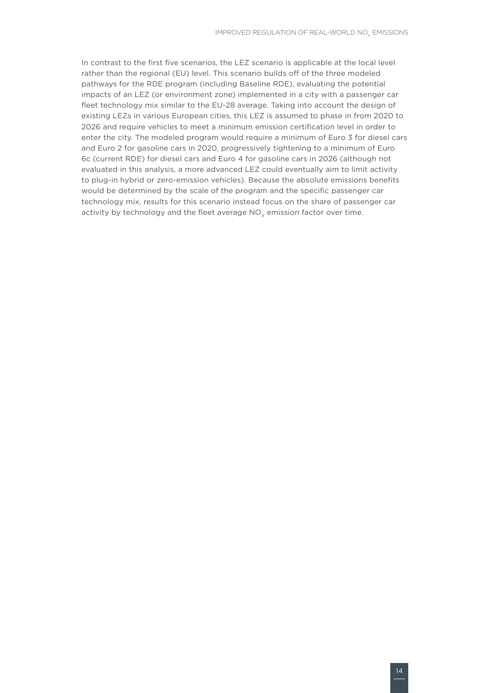In contrast to the first five scenarios, the LEZ scenario is applicable at the local level rather than the regional (EU) level. This scenario builds off of the three modeled pathways for the RDE program (including Baseline RDE), evaluating the potential impacts of an LEZ (or environment zone) implemented in a city with a passenger car fleet technology mix similar to the EU-28 average. Taking into account the design of existing LEZs in various European cities, this LEZ is assumed to phase in from 2020 to 2026 and require vehicles to meet a minimum emission certification level in order to enter the city. The modeled program would require a minimum of Euro 3 for diesel cars and Euro 2 for gasoline cars in 2020, progressively tightening to a minimum of Euro 6c (current RDE) for diesel cars and Euro 4 for gasoline cars in 2026 (although not evaluated in this analysis, a more advanced LEZ could eventually aim to limit activity to plug-in hybrid or zero-emission vehicles). Because the absolute emissions benefits would be determined by the scale of the program and the specific passenger car technology mix, results for this scenario instead focus on the share of passenger car activity by technology and the fleet average  $NO<sub>v</sub>$  emission factor over time.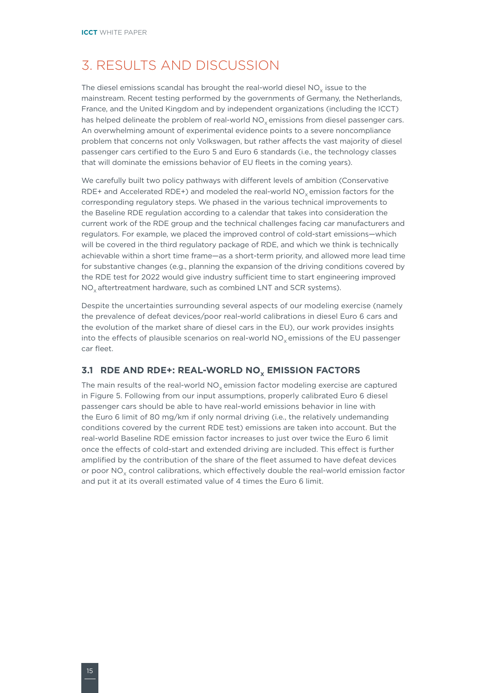# <span id="page-21-0"></span>3. RESULTS AND DISCUSSION

The diesel emissions scandal has brought the real-world diesel NO<sub>.</sub> issue to the mainstream. Recent testing performed by the governments of Germany, the Netherlands, France, and the United Kingdom and by independent organizations (including the ICCT) has helped delineate the problem of real-world NO<sub>v</sub> emissions from diesel passenger cars. An overwhelming amount of experimental evidence points to a severe noncompliance problem that concerns not only Volkswagen, but rather affects the vast majority of diesel passenger cars certified to the Euro 5 and Euro 6 standards (i.e., the technology classes that will dominate the emissions behavior of EU fleets in the coming years).

We carefully built two policy pathways with different levels of ambition (Conservative RDE+ and Accelerated RDE+) and modeled the real-world  $NO<sub>v</sub>$  emission factors for the corresponding regulatory steps. We phased in the various technical improvements to the Baseline RDE regulation according to a calendar that takes into consideration the current work of the RDE group and the technical challenges facing car manufacturers and regulators. For example, we placed the improved control of cold-start emissions—which will be covered in the third regulatory package of RDE, and which we think is technically achievable within a short time frame—as a short-term priority, and allowed more lead time for substantive changes (e.g., planning the expansion of the driving conditions covered by the RDE test for 2022 would give industry sufficient time to start engineering improved  $NO<sub>x</sub>$  aftertreatment hardware, such as combined LNT and SCR systems).

Despite the uncertainties surrounding several aspects of our modeling exercise (namely the prevalence of defeat devices/poor real-world calibrations in diesel Euro 6 cars and the evolution of the market share of diesel cars in the EU), our work provides insights into the effects of plausible scenarios on real-world NO<sub>v</sub> emissions of the EU passenger car fleet.

### **3.1 RDE AND RDE+: REAL-WORLD NO<sub>v</sub> EMISSION FACTORS**

The main results of the real-world  $NO<sub>x</sub>$  emission factor modeling exercise are captured in Figure 5. Following from our input assumptions, properly calibrated Euro 6 diesel passenger cars should be able to have real-world emissions behavior in line with the Euro 6 limit of 80 mg/km if only normal driving (i.e., the relatively undemanding conditions covered by the current RDE test) emissions are taken into account. But the real-world Baseline RDE emission factor increases to just over twice the Euro 6 limit once the effects of cold-start and extended driving are included. This effect is further amplified by the contribution of the share of the fleet assumed to have defeat devices or poor NO<sub>y</sub> control calibrations, which effectively double the real-world emission factor and put it at its overall estimated value of 4 times the Euro 6 limit.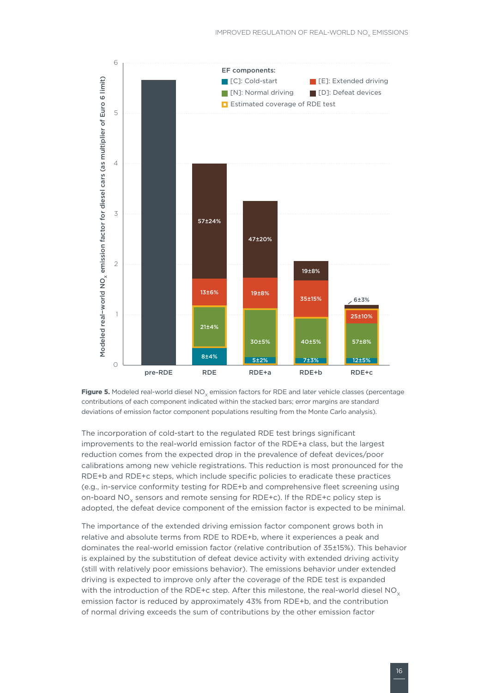



The incorporation of cold-start to the regulated RDE test brings significant improvements to the real-world emission factor of the RDE+a class, but the largest reduction comes from the expected drop in the prevalence of defeat devices/poor calibrations among new vehicle registrations. This reduction is most pronounced for the RDE+b and RDE+c steps, which include specific policies to eradicate these practices (e.g., in-service conformity testing for RDE+b and comprehensive fleet screening using on-board  $NO<sub>x</sub>$  sensors and remote sensing for RDE+c). If the RDE+c policy step is adopted, the defeat device component of the emission factor is expected to be minimal.

The importance of the extended driving emission factor component grows both in relative and absolute terms from RDE to RDE+b, where it experiences a peak and dominates the real-world emission factor (relative contribution of 35±15%). This behavior is explained by the substitution of defeat device activity with extended driving activity (still with relatively poor emissions behavior). The emissions behavior under extended driving is expected to improve only after the coverage of the RDE test is expanded with the introduction of the RDE+c step. After this milestone, the real-world diesel  $NO<sub>x</sub>$ emission factor is reduced by approximately 43% from RDE+b, and the contribution of normal driving exceeds the sum of contributions by the other emission factor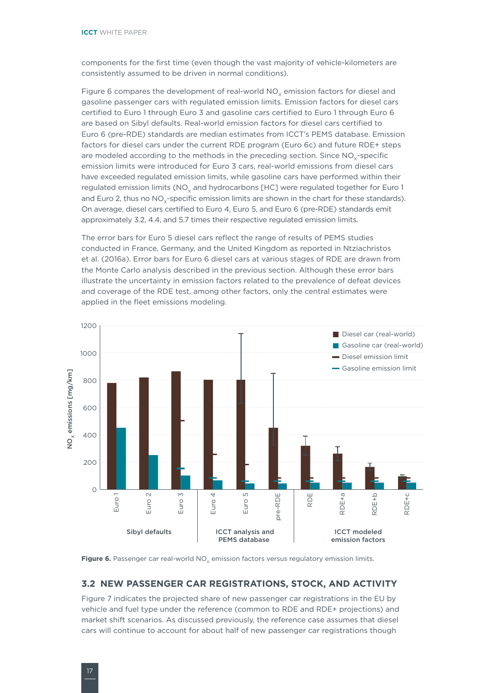<span id="page-23-0"></span>components for the first time (even though the vast majority of vehicle-kilometers are consistently assumed to be driven in normal conditions).

Figure 6 compares the development of real-world  $NO<sub>x</sub>$  emission factors for diesel and gasoline passenger cars with regulated emission limits. Emission factors for diesel cars certified to Euro 1 through Euro 3 and gasoline cars certified to Euro 1 through Euro 6 are based on Sibyl defaults. Real-world emission factors for diesel cars certified to Euro 6 (pre-RDE) standards are median estimates from ICCT's PEMS database. Emission factors for diesel cars under the current RDE program (Euro 6c) and future RDE+ steps are modeled according to the methods in the preceding section. Since NO<sub>v</sub>-specific emission limits were introduced for Euro 3 cars, real-world emissions from diesel cars have exceeded regulated emission limits, while gasoline cars have performed within their regulated emission limits (NO<sub>x</sub> and hydrocarbons [HC] were regulated together for Euro 1 and Euro 2, thus no NO<sub>v</sub>-specific emission limits are shown in the chart for these standards). On average, diesel cars certified to Euro 4, Euro 5, and Euro 6 (pre-RDE) standards emit approximately 3.2, 4.4, and 5.7 times their respective regulated emission limits.

The error bars for Euro 5 diesel cars reflect the range of results of PEMS studies conducted in France, Germany, and the United Kingdom as reported in Ntziachristos et al. (2016a). Error bars for Euro 6 diesel cars at various stages of RDE are drawn from the Monte Carlo analysis described in the previous section. Although these error bars illustrate the uncertainty in emission factors related to the prevalence of defeat devices and coverage of the RDE test, among other factors, only the central estimates were applied in the fleet emissions modeling.



Figure 6. Passenger car real-world NO<sub>v</sub> emission factors versus regulatory emission limits.

#### **3.2 NEW PASSENGER CAR REGISTRATIONS, STOCK, AND ACTIVITY**

Figure 7 indicates the projected share of new passenger car registrations in the EU by vehicle and fuel type under the reference (common to RDE and RDE+ projections) and market shift scenarios. As discussed previously, the reference case assumes that diesel cars will continue to account for about half of new passenger car registrations though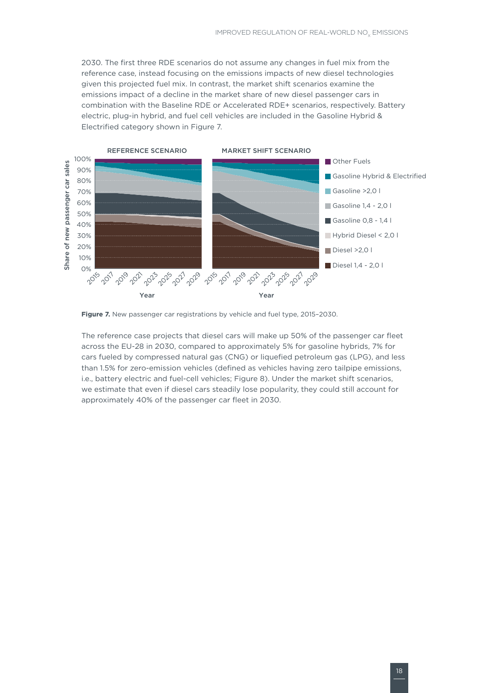2030. The first three RDE scenarios do not assume any changes in fuel mix from the reference case, instead focusing on the emissions impacts of new diesel technologies given this projected fuel mix. In contrast, the market shift scenarios examine the emissions impact of a decline in the market share of new diesel passenger cars in combination with the Baseline RDE or Accelerated RDE+ scenarios, respectively. Battery electric, plug-in hybrid, and fuel cell vehicles are included in the Gasoline Hybrid & Electrified category shown in Figure 7.



**Figure 7.** New passenger car registrations by vehicle and fuel type, 2015-2030.

The reference case projects that diesel cars will make up 50% of the passenger car fleet across the EU-28 in 2030, compared to approximately 5% for gasoline hybrids, 7% for cars fueled by compressed natural gas (CNG) or liquefied petroleum gas (LPG), and less than 1.5% for zero-emission vehicles (defined as vehicles having zero tailpipe emissions, i.e., battery electric and fuel-cell vehicles; Figure 8). Under the market shift scenarios, we estimate that even if diesel cars steadily lose popularity, they could still account for approximately 40% of the passenger car fleet in 2030.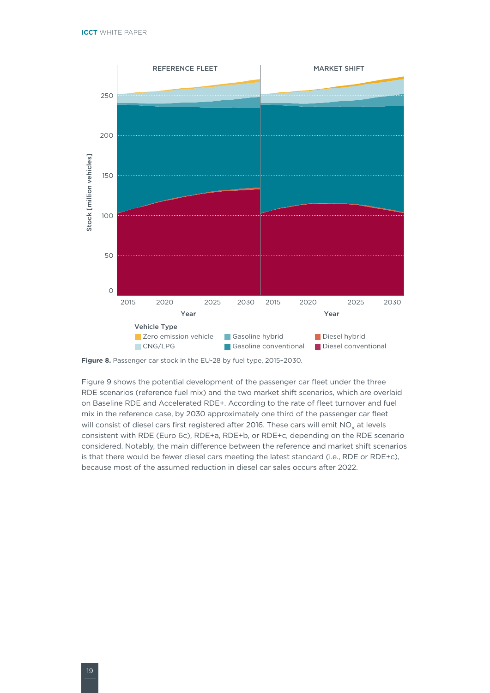

Figure 8. Passenger car stock in the EU-28 by fuel type, 2015-2030.

Figure 9 shows the potential development of the passenger car fleet under the three RDE scenarios (reference fuel mix) and the two market shift scenarios, which are overlaid on Baseline RDE and Accelerated RDE+. According to the rate of fleet turnover and fuel mix in the reference case, by 2030 approximately one third of the passenger car fleet will consist of diesel cars first registered after 2016. These cars will emit  $NO<sub>v</sub>$  at levels consistent with RDE (Euro 6c), RDE+a, RDE+b, or RDE+c, depending on the RDE scenario considered. Notably, the main difference between the reference and market shift scenarios is that there would be fewer diesel cars meeting the latest standard (i.e., RDE or RDE+c), because most of the assumed reduction in diesel car sales occurs after 2022.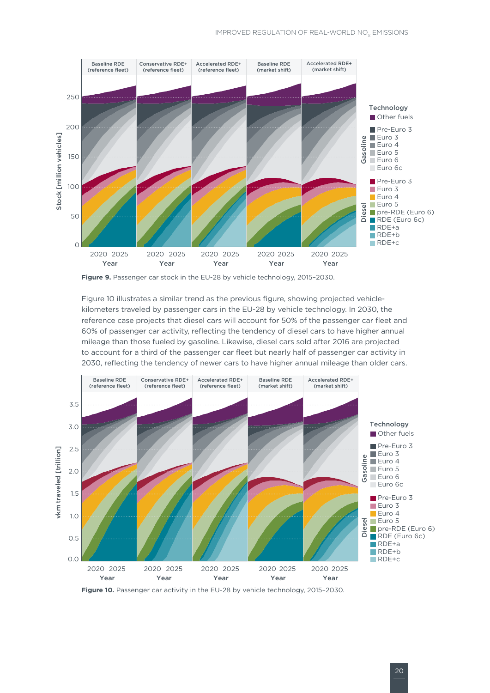#### IMPROVED REGULATION OF REAL-WORLD NO<sub>v</sub> EMISSIONS



**Figure 9.** Passenger car stock in the EU-28 by vehicle technology, 2015–2030.

Figure 10 illustrates a similar trend as the previous figure, showing projected vehiclekilometers traveled by passenger cars in the EU-28 by vehicle technology. In 2030, the reference case projects that diesel cars will account for 50% of the passenger car fleet and 60% of passenger car activity, reflecting the tendency of diesel cars to have higher annual mileage than those fueled by gasoline. Likewise, diesel cars sold after 2016 are projected to account for a third of the passenger car fleet but nearly half of passenger car activity in 2030, reflecting the tendency of newer cars to have higher annual mileage than older cars.



Figure 10. Passenger car activity in the EU-28 by vehicle technology, 2015-2030.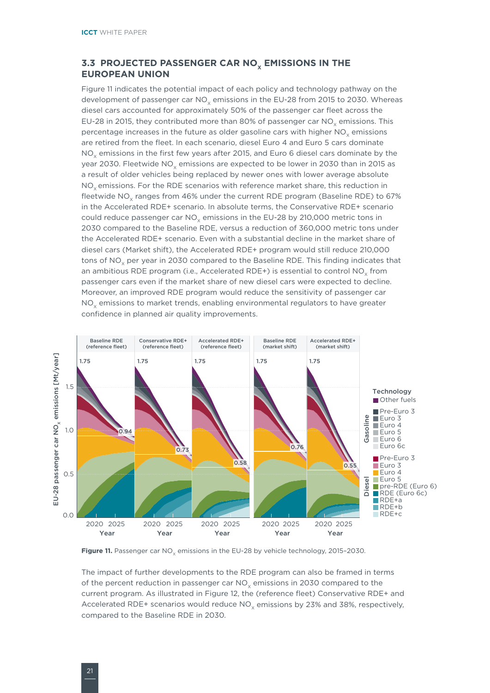### <span id="page-27-0"></span>**3.3 PROJECTED PASSENGER CAR NO<sub>x</sub> EMISSIONS IN THE EUROPEAN UNION**

Figure 11 indicates the potential impact of each policy and technology pathway on the development of passenger car  $NO<sub>v</sub>$  emissions in the EU-28 from 2015 to 2030. Whereas diesel cars accounted for approximately 50% of the passenger car fleet across the EU-28 in 2015, they contributed more than 80% of passenger car  $NO<sub>v</sub>$  emissions. This percentage increases in the future as older gasoline cars with higher NO<sub>v</sub> emissions are retired from the fleet. In each scenario, diesel Euro 4 and Euro 5 cars dominate  $NO<sub>x</sub>$  emissions in the first few years after 2015, and Euro 6 diesel cars dominate by the year 2030. Fleetwide NO<sub>y</sub> emissions are expected to be lower in 2030 than in 2015 as a result of older vehicles being replaced by newer ones with lower average absolute NO<sub>v</sub> emissions. For the RDE scenarios with reference market share, this reduction in fleetwide NO<sub>v</sub> ranges from 46% under the current RDE program (Baseline RDE) to 67% in the Accelerated RDE+ scenario. In absolute terms, the Conservative RDE+ scenario could reduce passenger car NO<sub>v</sub> emissions in the EU-28 by 210,000 metric tons in 2030 compared to the Baseline RDE, versus a reduction of 360,000 metric tons under the Accelerated RDE+ scenario. Even with a substantial decline in the market share of diesel cars (Market shift), the Accelerated RDE+ program would still reduce 210,000 tons of  $NO<sub>y</sub>$  per year in 2030 compared to the Baseline RDE. This finding indicates that an ambitious RDE program (i.e., Accelerated RDE+) is essential to control  $NO<sub>v</sub>$  from passenger cars even if the market share of new diesel cars were expected to decline. Moreover, an improved RDE program would reduce the sensitivity of passenger car NO<sub>v</sub> emissions to market trends, enabling environmental regulators to have greater confidence in planned air quality improvements.



Figure 11. Passenger car NO<sub>v</sub> emissions in the EU-28 by vehicle technology, 2015-2030.

The impact of further developments to the RDE program can also be framed in terms of the percent reduction in passenger car  $NO<sub>x</sub>$  emissions in 2030 compared to the current program. As illustrated in Figure 12, the (reference fleet) Conservative RDE+ and Accelerated RDE+ scenarios would reduce  $NO<sub>v</sub>$  emissions by 23% and 38%, respectively, compared to the Baseline RDE in 2030.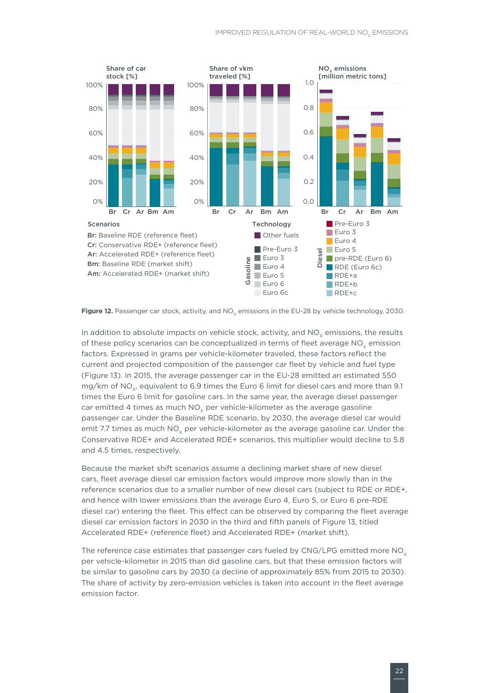

Figure 12. Passenger car stock, activity, and NO<sub>v</sub> emissions in the EU-28 by vehicle technology, 2030.

In addition to absolute impacts on vehicle stock, activity, and  $NO<sub>v</sub>$  emissions, the results of these policy scenarios can be conceptualized in terms of fleet average  $NO<sub>x</sub>$  emission factors. Expressed in grams per vehicle-kilometer traveled, these factors reflect the current and projected composition of the passenger car fleet by vehicle and fuel type (Figure 13). In 2015, the average passenger car in the EU-28 emitted an estimated 550 mg/km of NO<sub>y</sub>, equivalent to 6.9 times the Euro 6 limit for diesel cars and more than 9.1 times the Euro 6 limit for gasoline cars. In the same year, the average diesel passenger car emitted 4 times as much  $NO<sub>v</sub>$  per vehicle-kilometer as the average gasoline passenger car. Under the Baseline RDE scenario, by 2030, the average diesel car would emit 7.7 times as much  $NO<sub>v</sub>$  per vehicle-kilometer as the average gasoline car. Under the Conservative RDE+ and Accelerated RDE+ scenarios, this multiplier would decline to 5.8 and 4.5 times, respectively.

Because the market shift scenarios assume a declining market share of new diesel cars, fleet average diesel car emission factors would improve more slowly than in the reference scenarios due to a smaller number of new diesel cars (subject to RDE or RDE+, and hence with lower emissions than the average Euro 4, Euro 5, or Euro 6 pre-RDE diesel car) entering the fleet. This effect can be observed by comparing the fleet average diesel car emission factors in 2030 in the third and fifth panels of Figure 13, titled Accelerated RDE+ (reference fleet) and Accelerated RDE+ (market shift).

The reference case estimates that passenger cars fueled by CNG/LPG emitted more  $NO<sub>x</sub>$ per vehicle-kilometer in 2015 than did gasoline cars, but that these emission factors will be similar to gasoline cars by 2030 (a decline of approximately 85% from 2015 to 2030). The share of activity by zero-emission vehicles is taken into account in the fleet average emission factor.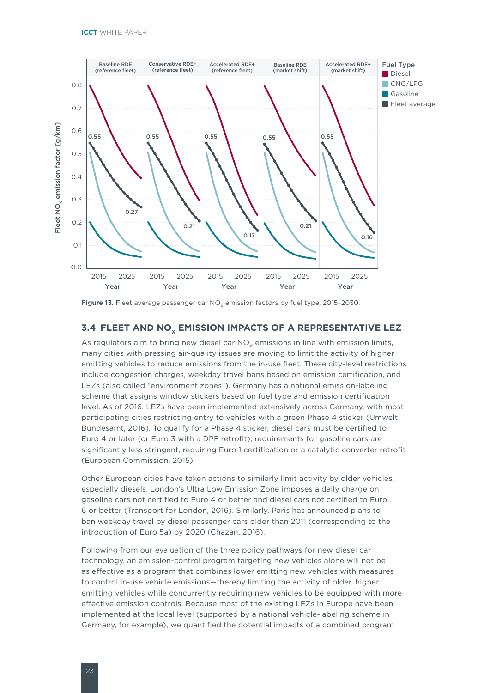<span id="page-29-0"></span>

Figure 13. Fleet average passenger car NO<sub>v</sub> emission factors by fuel type, 2015-2030.

#### **3.4 FLEET AND NO<sub>v</sub> EMISSION IMPACTS OF A REPRESENTATIVE LEZ**

As regulators aim to bring new diesel car  $NO<sub>v</sub>$  emissions in line with emission limits, many cities with pressing air-quality issues are moving to limit the activity of higher emitting vehicles to reduce emissions from the in-use fleet. These city-level restrictions include congestion charges, weekday travel bans based on emission certification, and LEZs (also called "environment zones"). Germany has a national emission-labeling scheme that assigns window stickers based on fuel type and emission certification level. As of 2016, LEZs have been implemented extensively across Germany, with most participating cities restricting entry to vehicles with a green Phase 4 sticker (Umwelt Bundesamt, 2016). To qualify for a Phase 4 sticker, diesel cars must be certified to Euro 4 or later (or Euro 3 with a DPF retrofit); requirements for gasoline cars are significantly less stringent, requiring Euro 1 certification or a catalytic converter retrofit (European Commission, 2015).

Other European cities have taken actions to similarly limit activity by older vehicles, especially diesels. London's Ultra Low Emission Zone imposes a daily charge on gasoline cars not certified to Euro 4 or better and diesel cars not certified to Euro 6 or better (Transport for London, 2016). Similarly, Paris has announced plans to ban weekday travel by diesel passenger cars older than 2011 (corresponding to the introduction of Euro 5a) by 2020 (Chazan, 2016).

Following from our evaluation of the three policy pathways for new diesel car technology, an emission-control program targeting new vehicles alone will not be as effective as a program that combines lower emitting new vehicles with measures to control in-use vehicle emissions—thereby limiting the activity of older, higher emitting vehicles while concurrently requiring new vehicles to be equipped with more effective emission controls. Because most of the existing LEZs in Europe have been implemented at the local level (supported by a national vehicle-labeling scheme in Germany, for example), we quantified the potential impacts of a combined program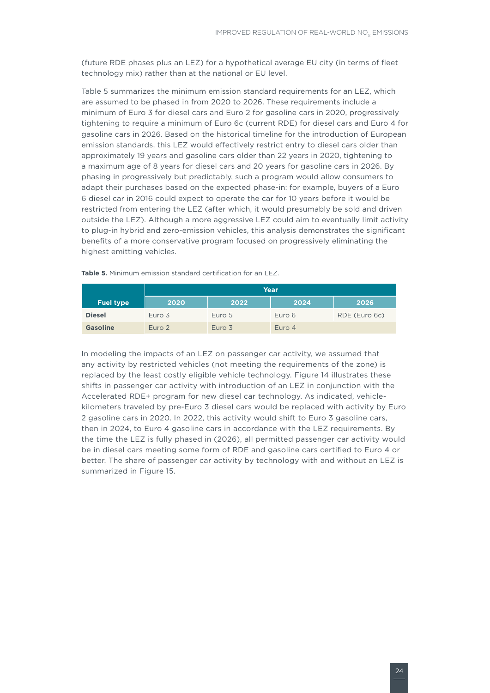(future RDE phases plus an LEZ) for a hypothetical average EU city (in terms of fleet technology mix) rather than at the national or EU level.

Table 5 summarizes the minimum emission standard requirements for an LEZ, which are assumed to be phased in from 2020 to 2026. These requirements include a minimum of Euro 3 for diesel cars and Euro 2 for gasoline cars in 2020, progressively tightening to require a minimum of Euro 6c (current RDE) for diesel cars and Euro 4 for gasoline cars in 2026. Based on the historical timeline for the introduction of European emission standards, this LEZ would effectively restrict entry to diesel cars older than approximately 19 years and gasoline cars older than 22 years in 2020, tightening to a maximum age of 8 years for diesel cars and 20 years for gasoline cars in 2026. By phasing in progressively but predictably, such a program would allow consumers to adapt their purchases based on the expected phase-in: for example, buyers of a Euro 6 diesel car in 2016 could expect to operate the car for 10 years before it would be restricted from entering the LEZ (after which, it would presumably be sold and driven outside the LEZ). Although a more aggressive LEZ could aim to eventually limit activity to plug-in hybrid and zero-emission vehicles, this analysis demonstrates the significant benefits of a more conservative program focused on progressively eliminating the highest emitting vehicles.

|                  | Year   |        |        |               |  |  |  |  |  |  |
|------------------|--------|--------|--------|---------------|--|--|--|--|--|--|
| <b>Fuel type</b> | 2020   | 2022   | 2024   | 2026          |  |  |  |  |  |  |
| <b>Diesel</b>    | Euro 3 | Euro 5 | Euro 6 | RDE (Euro 6c) |  |  |  |  |  |  |
| <b>Gasoline</b>  | Euro 2 | Euro 3 | Euro 4 |               |  |  |  |  |  |  |

**Table 5.** Minimum emission standard certification for an LEZ.

In modeling the impacts of an LEZ on passenger car activity, we assumed that any activity by restricted vehicles (not meeting the requirements of the zone) is replaced by the least costly eligible vehicle technology. Figure 14 illustrates these shifts in passenger car activity with introduction of an LEZ in conjunction with the Accelerated RDE+ program for new diesel car technology. As indicated, vehiclekilometers traveled by pre-Euro 3 diesel cars would be replaced with activity by Euro 2 gasoline cars in 2020. In 2022, this activity would shift to Euro 3 gasoline cars, then in 2024, to Euro 4 gasoline cars in accordance with the LEZ requirements. By the time the LEZ is fully phased in (2026), all permitted passenger car activity would be in diesel cars meeting some form of RDE and gasoline cars certified to Euro 4 or better. The share of passenger car activity by technology with and without an LEZ is summarized in Figure 15.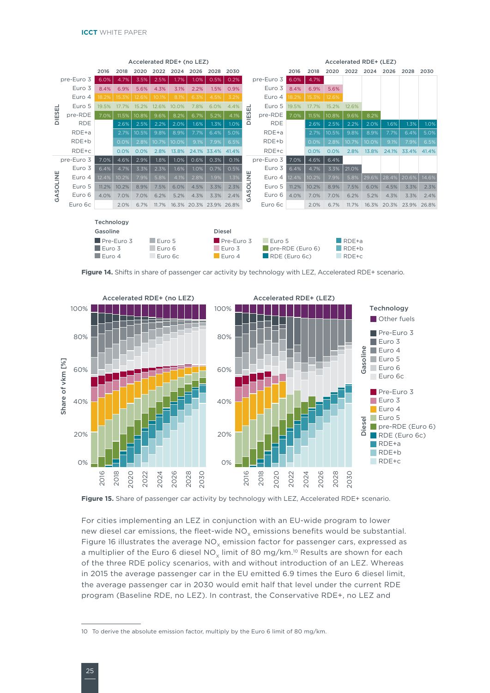| Accelerated RDE+ (no LEZ)   |            |                       |       |       |        |               |                         |       |                   |              |              |       | Accelerated RDE+ (LEZ)    |       |                      |       |             |             |       |
|-----------------------------|------------|-----------------------|-------|-------|--------|---------------|-------------------------|-------|-------------------|--------------|--------------|-------|---------------------------|-------|----------------------|-------|-------------|-------------|-------|
|                             |            | 2016                  | 2018  | 2020  | 2022   | 2024          | 2026                    | 2028  | 2030              |              |              | 2016  | 2018                      | 2020  | 2022                 | 2024  | 2026        | 2028        | 2030  |
| pre-Euro 3                  |            | 6.0%                  | 4.7%  | 3.5%  | 2.5%   | 1.7%          | 1.0%                    | 0.5%  | 0.2%              |              | $pre-Euro 3$ | 6.0%  | 4.7%                      |       |                      |       |             |             |       |
|                             | Euro 3     | 8.4%                  | 6.9%  | 5.6%  | 4.3%   | 3.1%          | 2.2%                    | 1.5%  | 0.9%              |              | Euro 3       | 8.4%  | 6.9%                      | 5.6%  |                      |       |             |             |       |
|                             | Euro 4     | 18.2%                 | 15.3% | 12.6% | 10.1%  | 8.1%          | 6.3%                    | 4.5%  | 3.2%              |              | Euro 4       | 18.2% | 15.3%                     | 12.6% |                      |       |             |             |       |
| 룹                           | Euro 5     | 19.5%                 | 17.7% | 15.2% | 12.6%  | 10.0%         | 7.8%                    | 6.0%  | 4.4%              | 급            | Euro 5       | 19.5% | 17.7%                     | 15.2% | 12.6%                |       |             |             |       |
| DIES                        | pre-RDE    | 7.0%                  | 11.5% | 10.8% | 9.6%   | 8.2%          | 6.7%                    | 5.2%  | 4.1%              | DIES         | pre-RDE      | 7.0%  | 11.5%                     | 10.8% | 9.6%                 | 8.2%  |             |             |       |
|                             | <b>RDE</b> |                       | 2.6%  | 2.5%  | 2.2%   | 2.0%          | 1.6%                    | 1.3%  | 1.0%              |              | <b>RDE</b>   |       | 2.6%                      | 2.5%  | 2.2%                 | 2.0%  | 1.6%        | 1.3%        | 1.0%  |
|                             | $RDE+a$    |                       | 2.7%  | 10.5% | 9.8%   | 8.9%          | 7.7%                    | 6.4%  | 5.0%              |              | $RDE+a$      |       | 2.7%                      | 10.5% | 9.8%                 | 8.9%  | 7.7%        | 6.4%        | 5.0%  |
|                             | RDE+b      |                       | 0.0%  | 2.8%  | 10.7%  | 10.0%         | 9.1%                    | 7.9%  | 6.5%              |              | RDE+b        |       | 0.0%                      | 2.8%  | 10.7%                | 10.0% | 9.1%        | 7.9%        | 6.5%  |
|                             | RDE+c      |                       | 0.0%  | 0.0%  | 2.8%   | 13.8%         | 24.1%                   | 33.4% | 41.4%             |              | $RDE+c$      |       | 0.0%                      | 0.0%  | 2.8%                 | 13.8% | 24.1%       | 33.4%       | 41.4% |
|                             | pre-Euro 3 | 7.0%                  | 4.6%  | 2.9%  | 1.8%   | 1.0%          | 0.6%                    | 0.3%  | 0.1%              |              | pre-Euro 3   | 7.0%  | 4.6%                      | 6.4%  |                      |       |             |             |       |
|                             | Euro 3     | 6.4%                  | 4.7%  | 3.3%  | 2.3%   | 1.6%          | 1.0%                    | 0.7%  | 0.5%              | ш            | Euro 3       | 6.4%  | 4.7%                      | 3.3%  | 21.0%                |       |             |             |       |
| GASOLINE                    | Euro 4     | 12.4%                 | 10.2% | 7.9%  | 5.8%   | 4.1%          | 2.8%                    | 1.9%  | 1.3%              | <b>DLINI</b> | Euro 4       | 12.4% | 10.2%                     | 7.9%  | 5.8%                 | 29.6% | 28.4%       | 20.6%       | 14.6% |
|                             | Euro 5     | 11.2%                 | 10.2% | 8.9%  | 7.5%   | 6.0%          | 4.5%                    | 3.3%  | 2.3%              |              | Euro 5       | 11.2% | 10.2%                     | 8.9%  | 7.5%                 | 6.0%  | 4.5%        | 3.3%        | 2.3%  |
|                             | Euro 6     | 4.0%                  | 7.0%  | 7.0%  | 6.2%   | 5.2%          | 4.3%                    | 3.3%  | 2.4%              | S<br>₹,      | Euro 6       | 4.0%  | 7.0%                      | 7.0%  | 6.2%                 | 5.2%  | 4.3%        | 3.3%        | 2.4%  |
|                             | Euro 6c    |                       | 2.0%  | 6.7%  | 11.7%  |               | 16.3% 20.3% 23.9% 26.8% |       |                   |              | Euro 6c      |       | 2.0%                      | 6.7%  | 11.7%                |       | 16.3% 20.3% | 23.9% 26.8% |       |
|                             |            |                       |       |       |        |               |                         |       |                   |              |              |       |                           |       |                      |       |             |             |       |
| Technology                  |            |                       |       |       |        |               |                         |       |                   |              |              |       |                           |       |                      |       |             |             |       |
| <b>Diesel</b><br>Gasoline   |            |                       |       |       |        |               |                         |       |                   |              |              |       |                           |       |                      |       |             |             |       |
|                             |            | Pre-Euro 3            |       |       | Euro 5 |               |                         |       | Pre-Euro 3        |              | Euro 5       |       |                           |       | $\blacksquare$ RDE+a |       |             |             |       |
|                             |            | $\blacksquare$ Euro 3 |       |       | Euro 6 |               |                         |       | Euro <sub>3</sub> |              |              |       | RDE+b<br>pre-RDE (Euro 6) |       |                      |       |             |             |       |
| Euro 4<br>Euro 4<br>Euro 6c |            |                       |       |       |        | RDE (Euro 6c) |                         |       |                   | RDE+c        |              |       |                           |       |                      |       |             |             |       |

Figure 14. Shifts in share of passenger car activity by technology with LEZ, Accelerated RDE+ scenario.



Figure 15. Share of passenger car activity by technology with LEZ, Accelerated RDE+ scenario.

For cities implementing an LEZ in conjunction with an EU-wide program to lower new diesel car emissions, the fleet-wide  $NO_x$  emissions benefits would be substantial. Figure 16 illustrates the average  $NO<sub>x</sub>$  emission factor for passenger cars, expressed as a multiplier of the Euro 6 diesel NO<sub>x</sub> limit of 80 mg/km.<sup>10</sup> Results are shown for each of the three RDE policy scenarios, with and without introduction of an LEZ. Whereas in 2015 the average passenger car in the EU emitted 6.9 times the Euro 6 diesel limit, the average passenger car in 2030 would emit half that level under the current RDE program (Baseline RDE, no LEZ). In contrast, the Conservative RDE+, no LEZ and

<sup>10</sup> To derive the absolute emission factor, multiply by the Euro 6 limit of 80 mg/km.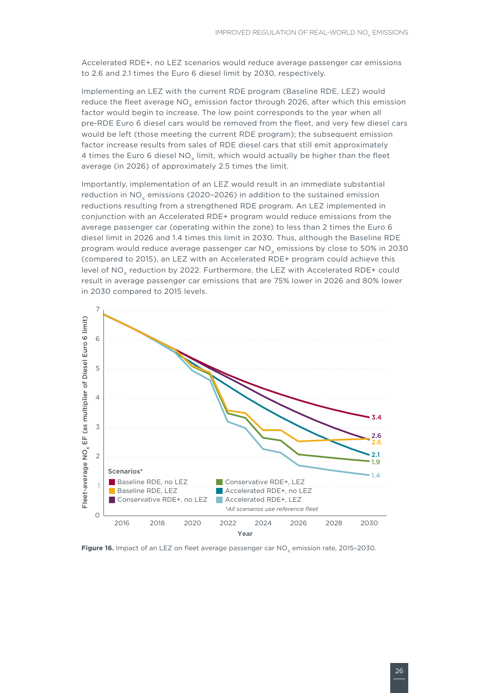Accelerated RDE+, no LEZ scenarios would reduce average passenger car emissions to 2.6 and 2.1 times the Euro 6 diesel limit by 2030, respectively.

Implementing an LEZ with the current RDE program (Baseline RDE, LEZ) would reduce the fleet average  $NO<sub>x</sub>$  emission factor through 2026, after which this emission factor would begin to increase. The low point corresponds to the year when all pre-RDE Euro 6 diesel cars would be removed from the fleet, and very few diesel cars would be left (those meeting the current RDE program); the subsequent emission factor increase results from sales of RDE diesel cars that still emit approximately 4 times the Euro 6 diesel NO<sub>x</sub> limit, which would actually be higher than the fleet average (in 2026) of approximately 2.5 times the limit.

Importantly, implementation of an LEZ would result in an immediate substantial reduction in NO<sub>v</sub> emissions (2020-2026) in addition to the sustained emission reductions resulting from a strengthened RDE program. An LEZ implemented in conjunction with an Accelerated RDE+ program would reduce emissions from the average passenger car (operating within the zone) to less than 2 times the Euro 6 diesel limit in 2026 and 1.4 times this limit in 2030. Thus, although the Baseline RDE program would reduce average passenger car NO<sub>v</sub> emissions by close to 50% in 2030 (compared to 2015), an LEZ with an Accelerated RDE+ program could achieve this level of NO<sub>v</sub> reduction by 2022. Furthermore, the LEZ with Accelerated RDE+ could result in average passenger car emissions that are 75% lower in 2026 and 80% lower in 2030 compared to 2015 levels.



Figure 16. Impact of an LEZ on fleet average passenger car NO<sub>v</sub> emission rate, 2015-2030.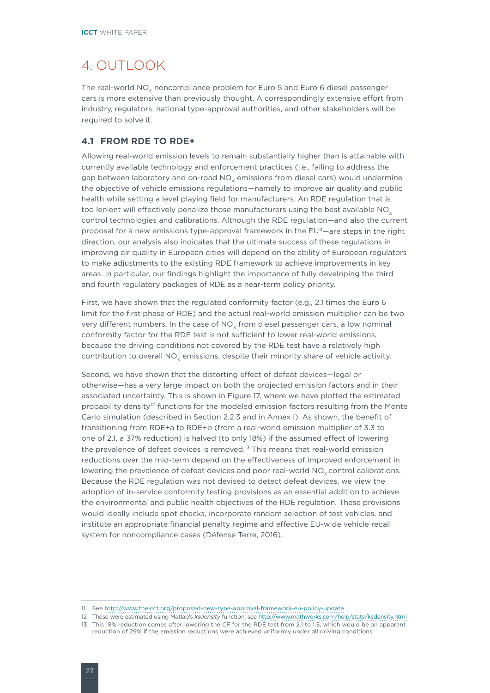# <span id="page-33-0"></span>4. OUTLOOK

The real-world NO<sub>v</sub> noncompliance problem for Euro 5 and Euro 6 diesel passenger cars is more extensive than previously thought. A correspondingly extensive effort from industry, regulators, national type-approval authorities, and other stakeholders will be required to solve it.

### **4.1 FROM RDE TO RDE+**

Allowing real-world emission levels to remain substantially higher than is attainable with currently available technology and enforcement practices (i.e., failing to address the gap between laboratory and on-road NO<sub>v</sub> emissions from diesel cars) would undermine the objective of vehicle emissions regulations—namely to improve air quality and public health while setting a level playing field for manufacturers. An RDE regulation that is too lenient will effectively penalize those manufacturers using the best available  $NO<sub>x</sub>$ control technologies and calibrations. Although the RDE regulation—and also the current proposal for a new emissions type-approval framework in the  $EU^{\eta}$ —are steps in the right direction, our analysis also indicates that the ultimate success of these regulations in improving air quality in European cities will depend on the ability of European regulators to make adjustments to the existing RDE framework to achieve improvements in key areas. In particular, our findings highlight the importance of fully developing the third and fourth regulatory packages of RDE as a near-term policy priority.

First, we have shown that the regulated conformity factor (e.g., 2.1 times the Euro 6 limit for the first phase of RDE) and the actual real-world emission multiplier can be two very different numbers. In the case of  $NO<sub>x</sub>$  from diesel passenger cars, a low nominal conformity factor for the RDE test is not sufficient to lower real-world emissions, because the driving conditions not covered by the RDE test have a relatively high contribution to overall  $NO<sub>x</sub>$  emissions, despite their minority share of vehicle activity.

Second, we have shown that the distorting effect of defeat devices—legal or otherwise—has a very large impact on both the projected emission factors and in their associated uncertainty. This is shown in Figure 17, where we have plotted the estimated probability density<sup>12</sup> functions for the modeled emission factors resulting from the Monte Carlo simulation (described in Section 2.2.3 and in Annex I). As shown, the benefit of transitioning from RDE+a to RDE+b (from a real-world emission multiplier of 3.3 to one of 2.1, a 37% reduction) is halved (to only 18%) if the assumed effect of lowering the prevalence of defeat devices is removed.<sup>13</sup> This means that real-world emission reductions over the mid-term depend on the effectiveness of improved enforcement in lowering the prevalence of defeat devices and poor real-world  $NO<sub>x</sub>$  control calibrations. Because the RDE regulation was not devised to detect defeat devices, we view the adoption of in-service conformity testing provisions as an essential addition to achieve the environmental and public health objectives of the RDE regulation. These provisions would ideally include spot checks, incorporate random selection of test vehicles, and institute an appropriate financial penalty regime and effective EU-wide vehicle recall system for noncompliance cases (Défense Terre, 2016).

<sup>11</sup> See<http://www.theicct.org/proposed-new-type-approval-framework-eu-policy-update>

<sup>12</sup> These were estimated using Matlab's *ksdensity* function; see<http://www.mathworks.com/help/stats/ksdensity.html> 13 This 18% reduction comes after lowering the CF for the RDE test from 2.1 to 1.5, which would be an apparent reduction of 29% if the emission reductions were achieved uniformly under all driving conditions.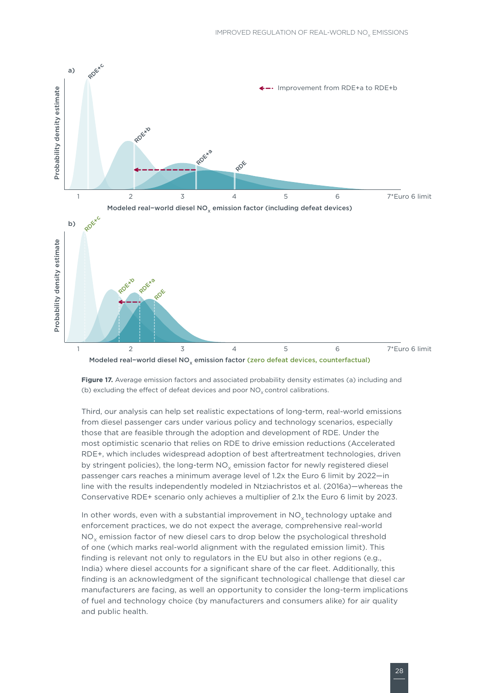

Modeled real−world diesel NO<sub>v</sub> emission factor (zero defeat devices, counterfactual)

**Figure 17.** Average emission factors and associated probability density estimates (a) including and (b) excluding the effect of defeat devices and poor  $NO<sub>x</sub>$  control calibrations.

Third, our analysis can help set realistic expectations of long-term, real-world emissions from diesel passenger cars under various policy and technology scenarios, especially those that are feasible through the adoption and development of RDE. Under the most optimistic scenario that relies on RDE to drive emission reductions (Accelerated RDE+, which includes widespread adoption of best aftertreatment technologies, driven by stringent policies), the long-term  $NO<sub>v</sub>$  emission factor for newly registered diesel passenger cars reaches a minimum average level of 1.2x the Euro 6 limit by 2022—in line with the results independently modeled in Ntziachristos et al. (2016a)—whereas the Conservative RDE+ scenario only achieves a multiplier of 2.1x the Euro 6 limit by 2023.

In other words, even with a substantial improvement in  $NO<sub>v</sub>$  technology uptake and enforcement practices, we do not expect the average, comprehensive real-world NO<sub>v</sub> emission factor of new diesel cars to drop below the psychological threshold of one (which marks real-world alignment with the regulated emission limit). This finding is relevant not only to regulators in the EU but also in other regions (e.g., India) where diesel accounts for a significant share of the car fleet. Additionally, this finding is an acknowledgment of the significant technological challenge that diesel car manufacturers are facing, as well an opportunity to consider the long-term implications of fuel and technology choice (by manufacturers and consumers alike) for air quality and public health.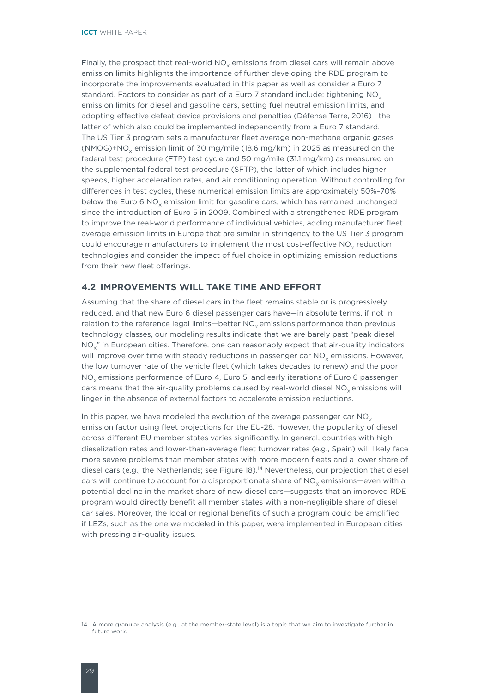<span id="page-35-0"></span>Finally, the prospect that real-world  $NO<sub>x</sub>$  emissions from diesel cars will remain above emission limits highlights the importance of further developing the RDE program to incorporate the improvements evaluated in this paper as well as consider a Euro 7 standard. Factors to consider as part of a Euro 7 standard include: tightening  $NO<sub>x</sub>$ emission limits for diesel and gasoline cars, setting fuel neutral emission limits, and adopting effective defeat device provisions and penalties (Défense Terre, 2016)—the latter of which also could be implemented independently from a Euro 7 standard. The US Tier 3 program sets a manufacturer fleet average non-methane organic gases (NMOG)+NO<sub>v</sub> emission limit of 30 mg/mile (18.6 mg/km) in 2025 as measured on the federal test procedure (FTP) test cycle and 50 mg/mile (31.1 mg/km) as measured on the supplemental federal test procedure (SFTP), the latter of which includes higher speeds, higher acceleration rates, and air conditioning operation. Without controlling for differences in test cycles, these numerical emission limits are approximately 50%–70% below the Euro 6  $NO<sub>x</sub>$  emission limit for gasoline cars, which has remained unchanged since the introduction of Euro 5 in 2009. Combined with a strengthened RDE program to improve the real-world performance of individual vehicles, adding manufacturer fleet average emission limits in Europe that are similar in stringency to the US Tier 3 program could encourage manufacturers to implement the most cost-effective NO<sub>y</sub> reduction technologies and consider the impact of fuel choice in optimizing emission reductions from their new fleet offerings.

#### **4.2 IMPROVEMENTS WILL TAKE TIME AND EFFORT**

Assuming that the share of diesel cars in the fleet remains stable or is progressively reduced, and that new Euro 6 diesel passenger cars have—in absolute terms, if not in relation to the reference legal limits—better  $NO<sub>y</sub>$  emissions performance than previous technology classes, our modeling results indicate that we are barely past "peak diesel  $NO<sub>y</sub>$ " in European cities. Therefore, one can reasonably expect that air-quality indicators will improve over time with steady reductions in passenger car NO<sub>v</sub> emissions. However, the low turnover rate of the vehicle fleet (which takes decades to renew) and the poor NO<sub>v</sub> emissions performance of Euro 4, Euro 5, and early iterations of Euro 6 passenger cars means that the air-quality problems caused by real-world diesel NO<sub>v</sub> emissions will linger in the absence of external factors to accelerate emission reductions.

In this paper, we have modeled the evolution of the average passenger car  $NO<sub>x</sub>$ emission factor using fleet projections for the EU-28. However, the popularity of diesel across different EU member states varies significantly. In general, countries with high dieselization rates and lower-than-average fleet turnover rates (e.g., Spain) will likely face more severe problems than member states with more modern fleets and a lower share of diesel cars (e.g., the Netherlands; see Figure 18).14 Nevertheless, our projection that diesel cars will continue to account for a disproportionate share of  $NO<sub>x</sub>$  emissions—even with a potential decline in the market share of new diesel cars—suggests that an improved RDE program would directly benefit all member states with a non-negligible share of diesel car sales. Moreover, the local or regional benefits of such a program could be amplified if LEZs, such as the one we modeled in this paper, were implemented in European cities with pressing air-quality issues.

<sup>14</sup> A more granular analysis (e.g., at the member-state level) is a topic that we aim to investigate further in future work.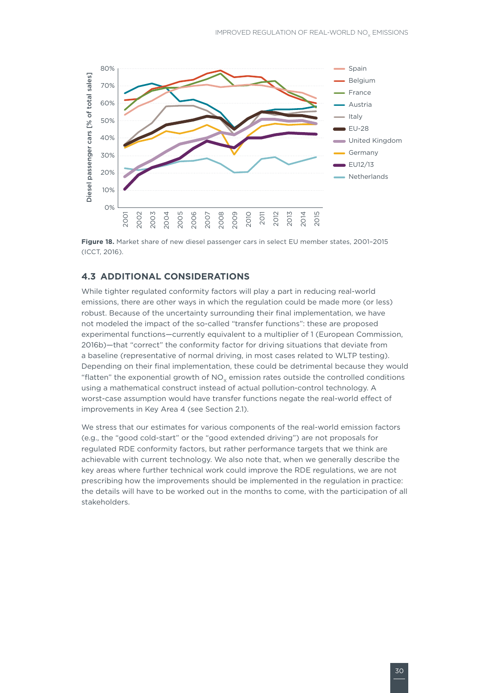<span id="page-36-0"></span>

**Figure 18.** Market share of new diesel passenger cars in select EU member states, 2001–2015 (ICCT, 2016).

### **4.3 ADDITIONAL CONSIDERATIONS**

While tighter regulated conformity factors will play a part in reducing real-world emissions, there are other ways in which the regulation could be made more (or less) robust. Because of the uncertainty surrounding their final implementation, we have not modeled the impact of the so-called "transfer functions": these are proposed experimental functions—currently equivalent to a multiplier of 1 (European Commission, 2016b)—that "correct" the conformity factor for driving situations that deviate from a baseline (representative of normal driving, in most cases related to WLTP testing). Depending on their final implementation, these could be detrimental because they would "flatten" the exponential growth of  $NO<sub>x</sub>$  emission rates outside the controlled conditions using a mathematical construct instead of actual pollution-control technology. A worst-case assumption would have transfer functions negate the real-world effect of improvements in Key Area 4 (see Section 2.1).

We stress that our estimates for various components of the real-world emission factors (e.g., the "good cold-start" or the "good extended driving") are not proposals for regulated RDE conformity factors, but rather performance targets that we think are achievable with current technology. We also note that, when we generally describe the key areas where further technical work could improve the RDE regulations, we are not prescribing how the improvements should be implemented in the regulation in practice: the details will have to be worked out in the months to come, with the participation of all stakeholders.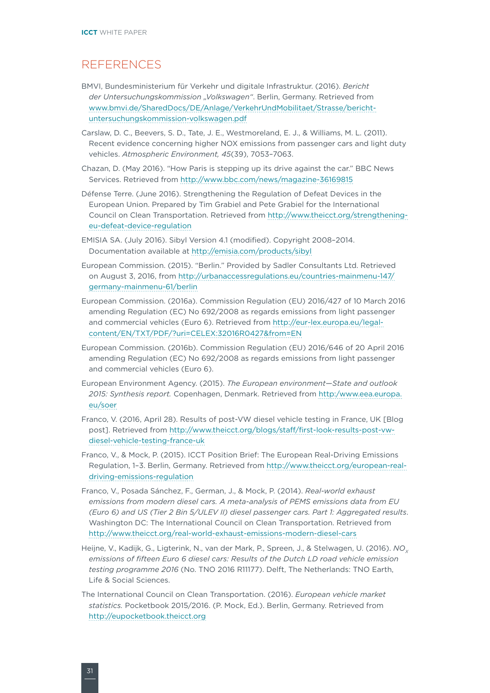### <span id="page-37-0"></span>REFERENCES

- BMVI, Bundesministerium für Verkehr und digitale Infrastruktur. (2016). *Bericht der Untersuchungskommission "Volkswagen"*. Berlin, Germany. Retrieved from [www.bmvi.de/SharedDocs/DE/Anlage/VerkehrUndMobilitaet/Strasse/bericht](www.bmvi.de/SharedDocs/DE/Anlage/VerkehrUndMobilitaet/Strasse/bericht-untersuchungskommission-volkswagen.pdf)[untersuchungskommission-volkswagen.pdf](www.bmvi.de/SharedDocs/DE/Anlage/VerkehrUndMobilitaet/Strasse/bericht-untersuchungskommission-volkswagen.pdf)
- Carslaw, D. C., Beevers, S. D., Tate, J. E., Westmoreland, E. J., & Williams, M. L. (2011). Recent evidence concerning higher NOX emissions from passenger cars and light duty vehicles. *Atmospheric Environment, 45*(39), 7053–7063.
- Chazan, D. (May 2016). "How Paris is stepping up its drive against the car." BBC News Services. Retrieved from<http://www.bbc.com/news/magazine-36169815>
- Défense Terre. (June 2016). Strengthening the Regulation of Defeat Devices in the European Union. Prepared by Tim Grabiel and Pete Grabiel for the International Council on Clean Transportation. Retrieved from [http://www.theicct.org/strengthening](http://www.theicct.org/strengthening-eu-defeat-device-regulation)[eu-defeat-device-regulation](http://www.theicct.org/strengthening-eu-defeat-device-regulation)
- EMISIA SA. (July 2016). Sibyl Version 4.1 (modified). Copyright 2008–2014. Documentation available at <http://emisia.com/products/sibyl>
- European Commission. (2015). "Berlin." Provided by Sadler Consultants Ltd. Retrieved on August 3, 2016, from [http://urbanaccessregulations.eu/countries-mainmenu-147/](http://urbanaccessregulations.eu/countries-mainmenu-147/germany-mainmenu-61/berlin) [germany-mainmenu-61/berlin](http://urbanaccessregulations.eu/countries-mainmenu-147/germany-mainmenu-61/berlin)
- European Commission. (2016a). Commission Regulation (EU) 2016/427 of 10 March 2016 amending Regulation (EC) No 692/2008 as regards emissions from light passenger and commercial vehicles (Euro 6). Retrieved from [http://eur-lex.europa.eu/legal](http://eur-lex.europa.eu/legal-content/EN/TXT/PDF/?uri=CELEX:32016R0427&from=EN)[content/EN/TXT/PDF/?uri=CELEX:32016R0427&from=EN](http://eur-lex.europa.eu/legal-content/EN/TXT/PDF/?uri=CELEX:32016R0427&from=EN)
- European Commission. (2016b). Commission Regulation (EU) 2016/646 of 20 April 2016 amending Regulation (EC) No 692/2008 as regards emissions from light passenger and commercial vehicles (Euro 6).
- European Environment Agency. (2015). *The European environment—State and outlook 2015: Synthesis report.* Copenhagen, Denmark. Retrieved from [http:/www.eea.europa.](http:/www.eea.europa.eu/soer) [eu/soer](http:/www.eea.europa.eu/soer)
- Franco, V. (2016, April 28). Results of post-VW diesel vehicle testing in France, UK [Blog post]. Retrieved from [http://www.theicct.org/blogs/staff/first-look-results-post-vw](http://www.theicct.org/blogs/staff/first-look-results-post-vw-diesel-vehicle-testing-france-uk)[diesel-vehicle-testing-france-uk](http://www.theicct.org/blogs/staff/first-look-results-post-vw-diesel-vehicle-testing-france-uk)
- Franco, V., & Mock, P. (2015). ICCT Position Brief: The European Real-Driving Emissions Regulation, 1–3. Berlin, Germany. Retrieved from [http://www.theicct.org/european-real](http://www.theicct.org/european-real-driving-emissions-regulation)[driving-emissions-regulation](http://www.theicct.org/european-real-driving-emissions-regulation)
- Franco, V., Posada Sánchez, F., German, J., & Mock, P. (2014). *Real-world exhaust emissions from modern diesel cars. A meta-analysis of PEMS emissions data from EU (Euro 6) and US (Tier 2 Bin 5/ULEV II) diesel passenger cars. Part 1: Aggregated results*. Washington DC: The International Council on Clean Transportation. Retrieved from <http://www.theicct.org/real-world-exhaust-emissions-modern-diesel-cars>
- Heijne, V., Kadijk, G., Ligterink, N., van der Mark, P., Spreen, J., & Stelwagen, U. (2016). *NO. emissions of fifteen Euro 6 diesel cars: Results of the Dutch LD road vehicle emission testing programme 2016* (No. TNO 2016 R11177). Delft, The Netherlands: TNO Earth, Life & Social Sciences.
- The International Council on Clean Transportation. (2016). *European vehicle market statistics.* Pocketbook 2015/2016. (P. Mock, Ed.). Berlin, Germany. Retrieved from <http://eupocketbook.theicct.org>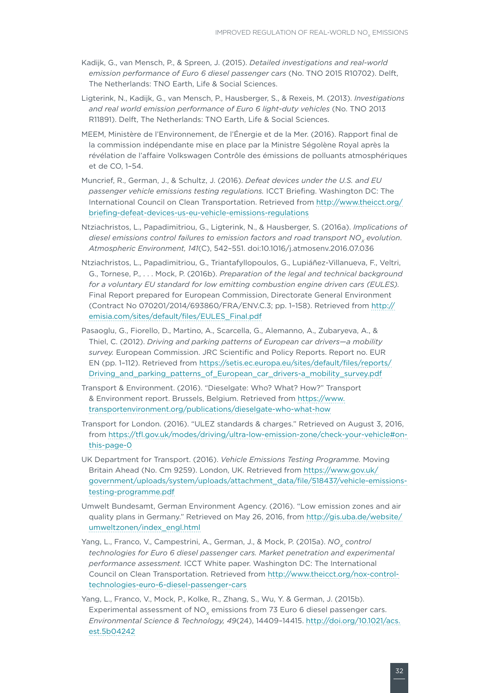- Kadijk, G., van Mensch, P., & Spreen, J. (2015). *Detailed investigations and real-world emission performance of Euro 6 diesel passenger cars* (No. TNO 2015 R10702). Delft, The Netherlands: TNO Earth, Life & Social Sciences.
- Ligterink, N., Kadijk, G., van Mensch, P., Hausberger, S., & Rexeis, M. (2013). *Investigations and real world emission performance of Euro 6 light-duty vehicles* (No. TNO 2013 R11891). Delft, The Netherlands: TNO Earth, Life & Social Sciences.
- MEEM, Ministère de l'Environnement, de l'Énergie et de la Mer. (2016). Rapport final de la commission indépendante mise en place par la Ministre Ségolène Royal après la révélation de l'affaire Volkswagen Contrôle des émissions de polluants atmosphériques et de CO, 1–54.
- Muncrief, R., German, J., & Schultz, J. (2016). *Defeat devices under the U.S. and EU passenger vehicle emissions testing regulations.* ICCT Briefing. Washington DC: The International Council on Clean Transportation. Retrieved from [http://www.theicct.org/](http://www.theicct.org/briefing-defeat-devices-us-eu-vehicle-emissions-regulations) [briefing-defeat-devices-us-eu-vehicle-emissions-regulations](http://www.theicct.org/briefing-defeat-devices-us-eu-vehicle-emissions-regulations)
- Ntziachristos, L., Papadimitriou, G., Ligterink, N., & Hausberger, S. (2016a). *Implications of diesel emissions control failures to emission factors and road transport NO<sub>v</sub> evolution. Atmospheric Environment, 141*(C), 542–551. doi:10.1016/j.atmosenv.2016.07.036
- Ntziachristos, L., Papadimitriou, G., Triantafyllopoulos, G., Lupiáñez-Villanueva, F., Veltri, G., Tornese, P., . . . Mock, P. (2016b). *Preparation of the legal and technical background for a voluntary EU standard for low emitting combustion engine driven cars (EULES).* Final Report prepared for European Commission, Directorate General Environment (Contract No 070201/2014/693860/FRA/ENV.C.3; pp. 1–158). Retrieved from [http://](http://emisia.com/sites/default/files/EULES_Final.pdf) [emisia.com/sites/default/files/EULES\\_Final.pdf](http://emisia.com/sites/default/files/EULES_Final.pdf)
- Pasaoglu, G., Fiorello, D., Martino, A., Scarcella, G., Alemanno, A., Zubaryeva, A., & Thiel, C. (2012). *Driving and parking patterns of European car drivers—a mobility survey.* European Commission. JRC Scientific and Policy Reports. Report no. EUR EN (pp. 1–112). Retrieved from [https://setis.ec.europa.eu/sites/default/files/reports/](https://setis.ec.europa.eu/sites/default/files/reports/Driving_and_parking_patterns_of_European_car_drivers-a_mobility_survey.pdf) [Driving\\_and\\_parking\\_patterns\\_of\\_European\\_car\\_drivers-a\\_mobility\\_survey.pdf](https://setis.ec.europa.eu/sites/default/files/reports/Driving_and_parking_patterns_of_European_car_drivers-a_mobility_survey.pdf)
- Transport & Environment. (2016). "Dieselgate: Who? What? How?" Transport & Environment report. Brussels, Belgium. Retrieved from [https://www.](https://www.transportenvironment.org/publications/dieselgate-who-what-how) [transportenvironment.org/publications/dieselgate-who-what-how](https://www.transportenvironment.org/publications/dieselgate-who-what-how)
- Transport for London. (2016). "ULEZ standards & charges." Retrieved on August 3, 2016, from [https://tfl.gov.uk/modes/driving/ultra-low-emission-zone/check-your-vehicle#on](https://tfl.gov.uk/modes/driving/ultra-low-emission-zone/check-your-vehicle#on-this-page-0)[this-page-0](https://tfl.gov.uk/modes/driving/ultra-low-emission-zone/check-your-vehicle#on-this-page-0)
- UK Department for Transport. (2016). *Vehicle Emissions Testing Programme.* Moving Britain Ahead (No. Cm 9259). London, UK. Retrieved from [https://www.gov.uk/](https://www.gov.uk/government/uploads/system/uploads/attachment_data/file/518437/vehicle-emissions-testing-programme.pdf) [government/uploads/system/uploads/attachment\\_data/file/518437/vehicle-emissions](https://www.gov.uk/government/uploads/system/uploads/attachment_data/file/518437/vehicle-emissions-testing-programme.pdf)[testing-programme.pdf](https://www.gov.uk/government/uploads/system/uploads/attachment_data/file/518437/vehicle-emissions-testing-programme.pdf)
- Umwelt Bundesamt, German Environment Agency. (2016). "Low emission zones and air quality plans in Germany." Retrieved on May 26, 2016, from [http://gis.uba.de/website/](http://gis.uba.de/website/umweltzonen/index_engl.html) [umweltzonen/index\\_engl.html](http://gis.uba.de/website/umweltzonen/index_engl.html)
- Yang, L., Franco, V., Campestrini, A., German, J., & Mock, P. (2015a). *NO<sub>v</sub> control technologies for Euro 6 diesel passenger cars. Market penetration and experimental performance assessment.* ICCT White paper. Washington DC: The International Council on Clean Transportation. Retrieved from [http://www.theicct.org/nox-control](http://www.theicct.org/nox-control-technologies-euro-6-diesel-passenger-cars)[technologies-euro-6-diesel-passenger-cars](http://www.theicct.org/nox-control-technologies-euro-6-diesel-passenger-cars)
- Yang, L., Franco, V., Mock, P., Kolke, R., Zhang, S., Wu, Y. & German, J. (2015b). Experimental assessment of NO<sub>y</sub> emissions from 73 Euro 6 diesel passenger cars. *Environmental Science & Technology, 49*(24), 14409–14415. [http://doi.org/10.1021/acs.](http://doi.org/10.1021/acs.est.5b04242) [est.5b04242](http://doi.org/10.1021/acs.est.5b04242)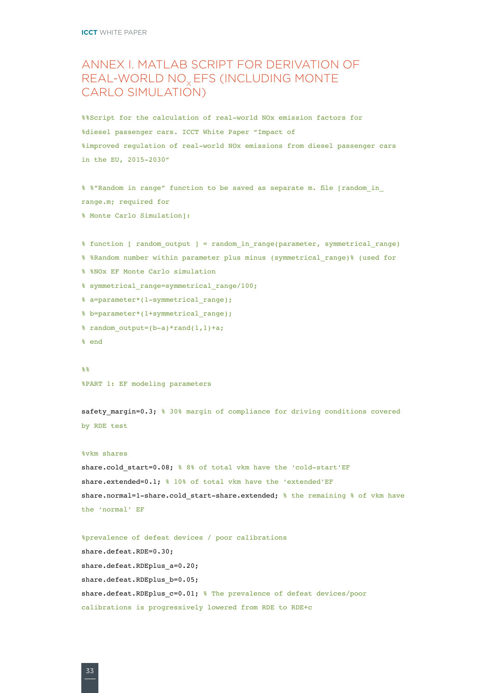# <span id="page-39-0"></span>ANNEX I. MATLAB SCRIPT FOR DERIVATION OF REAL-WORLD NO<sub>x</sub> EFS (INCLUDING MONTE CARLO SIMULATION)

%%Script for the calculation of real-world NOx emission factors for %diesel passenger cars. ICCT White Paper "Impact of %improved regulation of real-world NOx emissions from diesel passenger cars in the EU, 2015-2030"

% %"Random in range" function to be saved as separate m. file [random\_in\_ range.m; required for

% Monte Carlo Simulation]:

```
% function [ random_output ] = random_in_range(parameter, symmetrical_range)
```

```
% %Random number within parameter plus minus (symmetrical_range)% (used for
```

```
% %NOx EF Monte Carlo simulation
```

```
% symmetrical_range=symmetrical_range/100;
```

```
% a=parameter*(1-symmetrical range);
```

```
% b=parameter*(1+symmetrical_range);
```

```
% random output=(b-a)*rand(1,1)+a;
```
% end

#### %%

%PART 1: EF modeling parameters

safety margin=0.3; % 30% margin of compliance for driving conditions covered by RDE test

#### %vkm shares

share.cold\_start=0.08; % 8% of total vkm have the 'cold-start'EF share.extended=0.1; % 10% of total vkm have the 'extended'EF share.normal=1-share.cold\_start-share.extended; % the remaining % of vkm have the 'normal' EF

```
%prevalence of defeat devices / poor calibrations
share.defeat.RDE=0.30;
share.defeat.RDEplus_a=0.20;
share.defeat.RDEplus b=0.05;
share.defeat.RDEplus c=0.01; % The prevalence of defeat devices/poor
calibrations is progressively lowered from RDE to RDE+c
```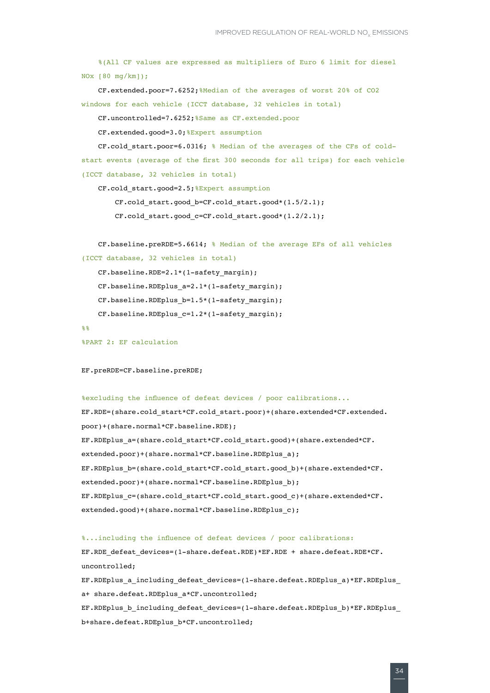```
 %(All CF values are expressed as multipliers of Euro 6 limit for diesel 
NOx [80 mg/km]);
    CF.extended.poor=7.6252;%Median of the averages of worst 20% of CO2 
windows for each vehicle (ICCT database, 32 vehicles in total)
    CF.uncontrolled=7.6252;%Same as CF.extended.poor
     CF.extended.good=3.0;%Expert assumption
     CF.cold_start.poor=6.0316; % Median of the averages of the CFs of cold-
start events (average of the first 300 seconds for all trips) for each vehicle
```
(ICCT database, 32 vehicles in total)

CF.cold\_start.good=2.5;%Expert assumption

CF.cold\_start.good\_b=CF.cold\_start.good\*(1.5/2.1);

 $CF.cold start.good c=CF.cold start.good*(1.2/2.1);$ 

```
 CF.baseline.preRDE=5.6614; % Median of the average EFs of all vehicles 
(ICCT database, 32 vehicles in total)
```

```
 CF.baseline.RDE=2.1*(1-safety_margin);
CF.baseline.RDEplus a=2.1*(1-safety margin);
CF.baseline.RDEplus b=1.5*(1-safety margin);
CF.baseline.RDEplus c=1.2*(1-safety margin);
```

```
99
```
%PART 2: EF calculation

EF.preRDE=CF.baseline.preRDE;

```
%excluding the influence of defeat devices / poor calibrations...
EF.RDE=(share.cold_start*CF.cold_start.poor)+(share.extended*CF.extended.
poor)+(share.normal*CF.baseline.RDE);
EF.RDEplus_a=(share.cold_start*CF.cold_start.good)+(share.extended*CF.
extended.poor)+(share.normal*CF.baseline.RDEplus_a);
EF.RDEplus_b=(share.cold_start*CF.cold_start.good_b)+(share.extended*CF.
extended.poor)+(share.normal*CF.baseline.RDEplus_b);
EF.RDEplus_c=(share.cold_start*CF.cold_start.good_c)+(share.extended*CF.
extended.good)+(share.normal*CF.baseline.RDEplus_c);
```

```
%...including the influence of defeat devices / poor calibrations:
EF.RDE_defeat_devices=(1-share.defeat.RDE)*EF.RDE + share.defeat.RDE*CF.
uncontrolled;
EF.RDEplus_a_including_defeat_devices=(1-share.defeat.RDEplus_a)*EF.RDEplus_
```
a+ share.defeat.RDEplus a\*CF.uncontrolled; EF.RDEplus b\_including\_defeat\_devices=(1-share.defeat.RDEplus\_b)\*EF.RDEplus b+share.defeat.RDEplus\_b\*CF.uncontrolled;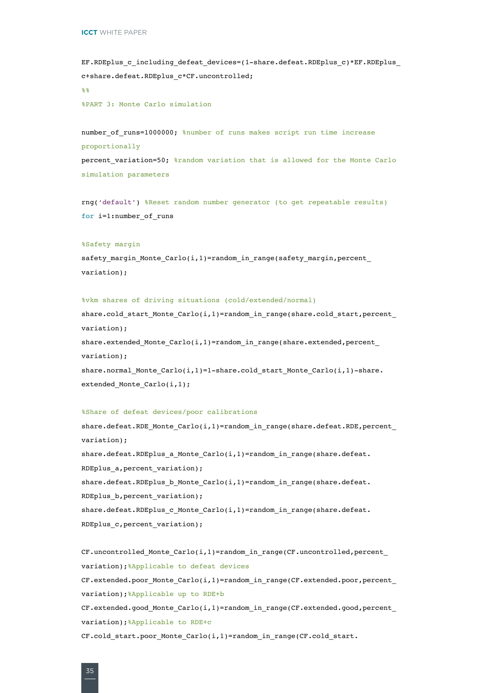EF.RDEplus c including defeat devices=(1-share.defeat.RDEplus c)\*EF.RDEplus c+share.defeat.RDEplus\_c\*CF.uncontrolled; %% %PART 3: Monte Carlo simulation

number of runs=1000000; %number of runs makes script run time increase proportionally percent\_variation=50; %random variation that is allowed for the Monte Carlo simulation parameters

rng('default') %Reset random number generator (to get repeatable results) for i=1:number\_of\_runs

#### %Safety margin

safety margin Monte Carlo(i,1)=random in range(safety margin, percent variation);

#### %vkm shares of driving situations (cold/extended/normal)

share.cold start Monte Carlo(i,1)=random in range(share.cold start, percent variation); share.extended Monte  $\text{Carlo}(i,1)$ =random in range(share.extended,percent variation); share.normal\_Monte\_Carlo(i,1)=1-share.cold\_start\_Monte\_Carlo(i,1)-share. extended Monte Carlo(i,1);

#### %Share of defeat devices/poor calibrations

```
share.defeat.RDE_Monte_Carlo(i,1)=random_in_range(share.defeat.RDE,percent_
variation);
share.defeat.RDEplus_a_Monte_Carlo(i,1)=random_in_range(share.defeat.
RDEplus_a,percent_variation);
share.defeat.RDEplus b Monte Carlo(i,1)=random in range(share.defeat.
RDEplus_b,percent_variation);
share.defeat.RDEplus c Monte Carlo(i,1)=random in range(share.defeat.
RDEplus_c,percent_variation);
CF.uncontrolled_Monte_Carlo(i,1)=random_in_range(CF.uncontrolled,percent_
```

```
variation);%Applicable to defeat devices
CF.extended.poor_Monte_Carlo(i,1)=random_in_range(CF.extended.poor,percent_
variation);%Applicable up to RDE+b
CF.extended.good_Monte_Carlo(i,1)=random_in_range(CF.extended.good,percent_
variation);%Applicable to RDE+c
CF.cold start.poor Monte Carlo(i,1)=random in range(CF.cold start.
```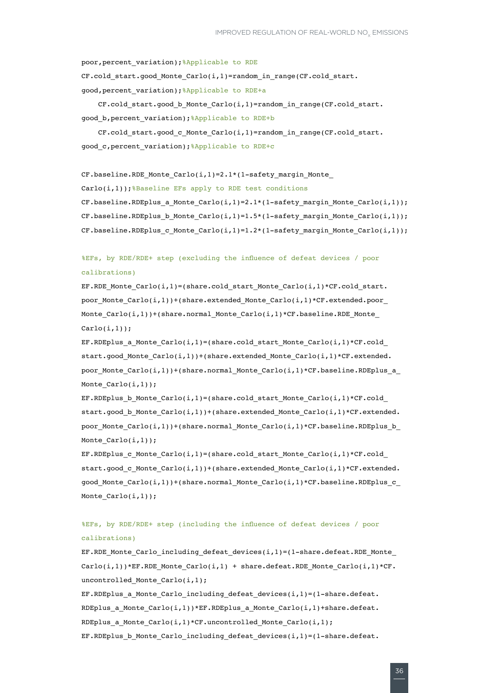poor, percent\_variation); %Applicable to RDE

CF.cold\_start.good\_Monte\_Carlo(i,1)=random\_in\_range(CF.cold\_start. good, percent variation); & Applicable to RDE+a

CF.cold\_start.good\_b\_Monte\_Carlo(i,1)=random\_in\_range(CF.cold\_start. good b, percent variation); &Applicable to RDE+b

CF.cold\_start.good\_c\_Monte\_Carlo(i,1)=random\_in\_range(CF.cold\_start. good\_c,percent\_variation);%Applicable to RDE+c

CF.baseline.RDE\_Monte\_Carlo(i,1)=2.1\*(1-safety\_margin\_Monte\_ Carlo(i,1)); &Baseline EFs apply to RDE test conditions CF.baseline.RDEplus\_a\_Monte\_Carlo(i,1)=2.1\*(1-safety\_margin\_Monte\_Carlo(i,1)); CF.baseline.RDEplus\_b\_Monte\_Carlo(i,1)=1.5\*(1-safety\_margin\_Monte\_Carlo(i,1)); CF.baseline.RDEplus c\_Monte Carlo(i,1)=1.2\*(1-safety\_margin\_Monte Carlo(i,1));

### %EFs, by RDE/RDE+ step (excluding the influence of defeat devices / poor calibrations)

EF.RDE Monte Carlo(i,1)=(share.cold start Monte Carlo(i,1)\*CF.cold start. poor Monte  $\text{Carlo}(i,1))$ +(share.extended Monte  $\text{Carlo}(i,1)*C$ F.extended.poor Monte  $\text{Carlo}(i,1)$ )+(share.normal Monte  $\text{Carlo}(i,1)*C \text{F}$ .baseline.RDE Monte  $Carlo(i,1))$ ;

EF.RDEplus a Monte Carlo(i,1)=(share.cold start Monte Carlo(i,1)\*CF.cold start.good Monte Carlo(i,1))+(share.extended\_Monte\_Carlo(i,1)\*CF.extended. poor Monte Carlo(i,1))+(share.normal Monte Carlo(i,1)\*CF.baseline.RDEplus a Monte  $\text{Carlo}(i,1))$ ;

EF.RDEplus\_b\_Monte\_Carlo(i,1)=(share.cold\_start\_Monte\_Carlo(i,1)\*CF.cold\_ start.good b Monte Carlo(i,1))+(share.extended Monte Carlo(i,1)\*CF.extended. poor\_Monte\_Carlo(i,1))+(share.normal\_Monte\_Carlo(i,1)\*CF.baseline.RDEplus\_b\_ Monte  $\text{Carlo}(i,1))$ ;

EF.RDEplus\_c\_Monte\_Carlo(i,1)=(share.cold\_start\_Monte\_Carlo(i,1)\*CF.cold\_ start.good\_c\_Monte\_Carlo(i,1))+(share.extended\_Monte\_Carlo(i,1)\*CF.extended. good Monte Carlo(i,1))+(share.normal Monte Carlo(i,1)\*CF.baseline.RDEplus c Monte  $\text{Carlo}(i,1))$ ;

### %EFs, by RDE/RDE+ step (including the influence of defeat devices / poor calibrations)

EF.RDE\_Monte\_Carlo\_including\_defeat\_devices(i,1)=(1-share.defeat.RDE\_Monte\_  $\text{Carlo}(i,1))$  \*EF.RDE Monte  $\text{Carlo}(i,1)$  + share.defeat.RDE Monte  $\text{Carlo}(i,1)*cF$ . uncontrolled\_Monte\_Carlo(i,1);

EF.RDEplus a Monte Carlo including defeat devices(i,1)=(1-share.defeat. RDEplus a Monte Carlo(i,1))\*EF.RDEplus a Monte Carlo(i,1)+share.defeat. RDEplus\_a\_Monte\_Carlo(i,1)\*CF.uncontrolled\_Monte\_Carlo(i,1); EF.RDEplus\_b\_Monte\_Carlo\_including\_defeat\_devices(i,1)=(1-share.defeat.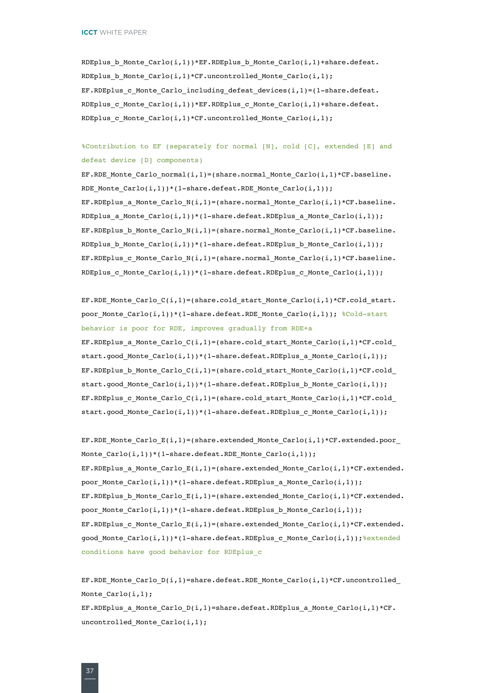RDEplus\_b\_Monte\_Carlo(i,1))\*EF.RDEplus\_b\_Monte\_Carlo(i,1)+share.defeat. RDEplus\_b\_Monte\_Carlo(i,1)\*CF.uncontrolled\_Monte\_Carlo(i,1); EF.RDEplus c Monte Carlo including defeat devices(i,1)=(1-share.defeat. RDEplus c\_Monte Carlo(i,1))\*EF.RDEplus c\_Monte Carlo(i,1)+share.defeat. RDEplus c Monte Carlo(i,1)\*CF.uncontrolled Monte Carlo(i,1);

%Contribution to EF (separately for normal [N], cold [C], extended [E] and defeat device [D] components)

EF.RDE\_Monte\_Carlo\_normal(i,1)=(share.normal\_Monte\_Carlo(i,1)\*CF.baseline. RDE\_Monte\_Carlo(i,1))\*(1-share.defeat.RDE\_Monte\_Carlo(i,1)); EF.RDEplus\_a\_Monte\_Carlo\_N(i,1)=(share.normal\_Monte\_Carlo(i,1)\*CF.baseline. RDEplus a Monte Carlo(i,1))\*(1-share.defeat.RDEplus a Monte Carlo(i,1)); EF.RDEplus\_b\_Monte\_Carlo\_N(i,1)=(share.normal\_Monte\_Carlo(i,1)\*CF.baseline. RDEplus b\_Monte Carlo(i,1))\*(1-share.defeat.RDEplus b\_Monte Carlo(i,1)); EF.RDEplus c Monte Carlo  $N(i,1)$ =(share.normal Monte Carlo(i,1)\*CF.baseline. RDEplus c Monte Carlo $(i,1)$ )\*(1-share.defeat.RDEplus c Monte Carlo $(i,1)$ );

EF.RDE Monte Carlo  $C(i,1)$ =(share.cold start Monte Carlo(i,1)\*CF.cold start. poor Monte Carlo(i,1))\*(1-share.defeat.RDE Monte Carlo(i,1)); %Cold-start behavior is poor for RDE, improves gradually from RDE+a EF.RDEplus a Monte Carlo  $C(i,1)=(\text{share.cold start Monte Carlo}(i,1)*CF.cold$ start.good Monte Carlo(i,1))\*(1-share.defeat.RDEplus a Monte Carlo(i,1)); EF.RDEplus b\_Monte\_Carlo\_C(i,1)=(share.cold\_start\_Monte\_Carlo(i,1)\*CF.cold start.good\_Monte\_Carlo(i,1))\*(1-share.defeat.RDEplus\_b\_Monte\_Carlo(i,1)); EF.RDEplus\_c\_Monte\_Carlo\_C(i,1)=(share.cold\_start\_Monte\_Carlo(i,1)\*CF.cold\_ start.good Monte Carlo(i,1))\*(1-share.defeat.RDEplus c Monte Carlo(i,1));

```
EF.RDE Monte Carlo E(i,1)=(share.extended Monte Carlo(i,1)*CF.extended.poor
Monte_Carlo(i,1))*(1-share.defeat.RDE_Monte_Carlo(i,1));
EF.RDEplus_a_Monte_Carlo_E(i,1)=(share.extended_Monte_Carlo(i,1)*CF.extended.
poor Monte Carlo(i,1))*(1-share.defeat.RDEplus a Monte Carlo(i,1));
EF.RDEplus b Monte Carlo E(i,1)=(share.extended Monte Carlo(i,1)*CF.extended.
poor Monte \text{Carlo}(i,1))*(1-\text{share}.defeat.RDEplus b Monte \text{Carlo}(i,1));EF.RDEplus_c_Monte_Carlo_E(i,1)=(share.extended_Monte_Carlo(i,1)*CF.extended.
good_Monte_Carlo(i,1))*(1-share.defeat.RDEplus_c_Monte_Carlo(i,1)); %extended
conditions have good behavior for RDEplus_c
```
EF.RDE\_Monte\_Carlo\_D(i,1)=share.defeat.RDE\_Monte\_Carlo(i,1)\*CF.uncontrolled Monte  $\text{Carlo}(i,1);$ EF.RDEplus a Monte Carlo  $D(i,1)$ =share.defeat.RDEplus a Monte Carlo $(i,1)*CF$ . uncontrolled\_Monte\_Carlo(i,1);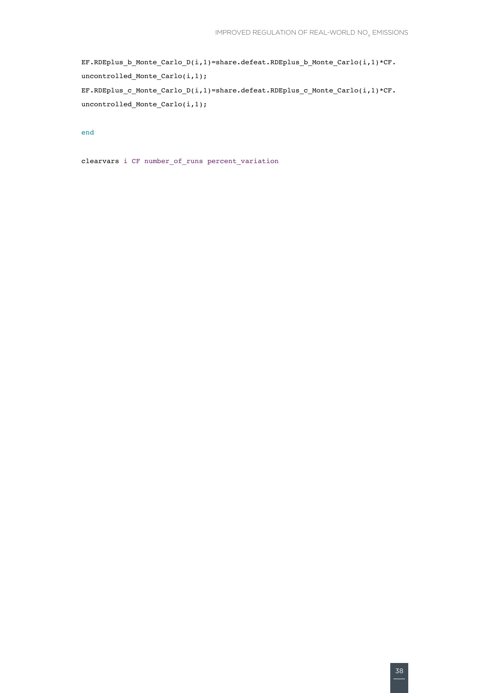```
<code>EF.RDEplus_b_Monte_Carlo_D(i,1)=share.defeat.RDEplus_b_Monte_Carlo(i,1)*CF.</code>
uncontrolled_Monte_Carlo(i,1);
EF.RDEplus_c_Monte_Carlo_D(i,1)=share.defeat.RDEplus_c_Monte_Carlo(i,1)*CF.
uncontrolled_Monte_Carlo(i,1);
```
#### end

clearvars i CF number\_of\_runs percent\_variation